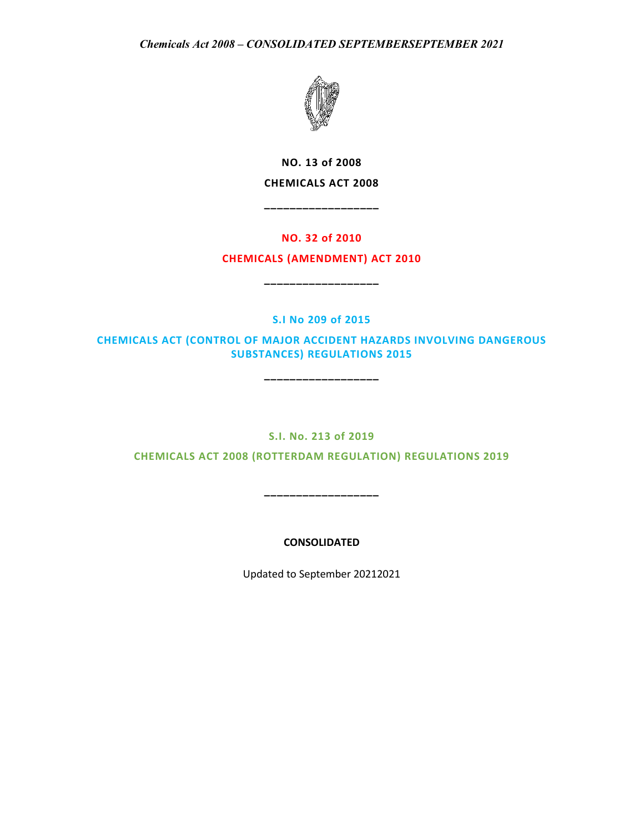

**NO. 13 of 2008 CHEMICALS ACT 2008**

**\_\_\_\_\_\_\_\_\_\_\_\_\_\_\_\_\_\_**

# **NO. 32 of 2010**

# **CHEMICALS (AMENDMENT) ACT 2010**

**\_\_\_\_\_\_\_\_\_\_\_\_\_\_\_\_\_\_**

**S.I No 209 of 2015**

**CHEMICALS ACT (CONTROL OF MAJOR ACCIDENT HAZARDS INVOLVING DANGEROUS SUBSTANCES) REGULATIONS 2015** 

**\_\_\_\_\_\_\_\_\_\_\_\_\_\_\_\_\_\_**

# **S.I. No. 213 of 2019**

**CHEMICALS ACT 2008 (ROTTERDAM REGULATION) REGULATIONS 2019**

**\_\_\_\_\_\_\_\_\_\_\_\_\_\_\_\_\_\_**

**CONSOLIDATED** 

Updated to September 20212021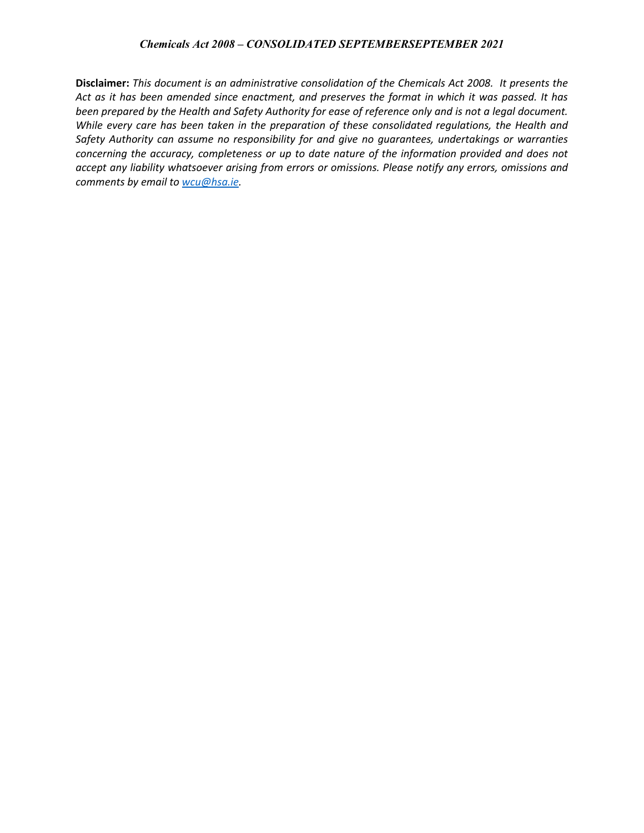**Disclaimer:** *This document is an administrative consolidation of the Chemicals Act 2008. It presents the Act as it has been amended since enactment, and preserves the format in which it was passed. It has been prepared by the Health and Safety Authority for ease of reference only and is not a legal document. While every care has been taken in the preparation of these consolidated regulations, the Health and Safety Authority can assume no responsibility for and give no guarantees, undertakings or warranties concerning the accuracy, completeness or up to date nature of the information provided and does not accept any liability whatsoever arising from errors or omissions. Please notify any errors, omissions and comments by email to [wcu@hsa.ie.](mailto:wcu@hsa.ie)*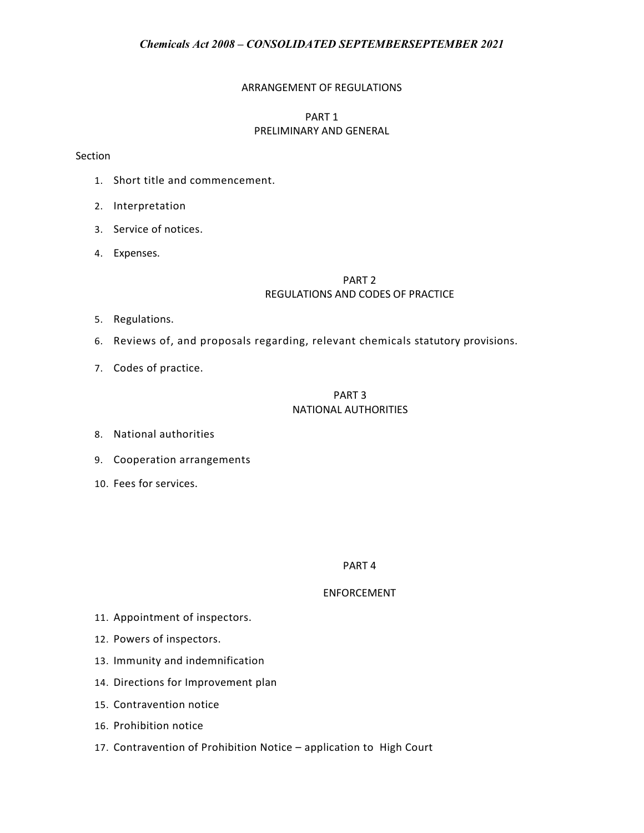# ARRANGEMENT OF REGULATIONS

# PART 1 PRELIMINARY AND GENERAL

### Section

- 1. Short title and commencement.
- 2. Interpretation
- 3. Service of notices.
- 4. Expenses.

# PART 2 REGULATIONS AND CODES OF PRACTICE

- 5. Regulations.
- 6. Reviews of, and proposals regarding, relevant chemicals statutory provisions.
- 7. Codes of practice.

# PART 3 NATIONAL AUTHORITIES

- 8. National authorities
- 9. Cooperation arrangements
- 10. Fees for services.

#### PART 4

# ENFORCEMENT

- 11. Appointment of inspectors.
- 12. Powers of inspectors.
- 13. Immunity and indemnification
- 14. Directions for Improvement plan
- 15. Contravention notice
- 16. Prohibition notice
- 17. Contravention of Prohibition Notice application to High Court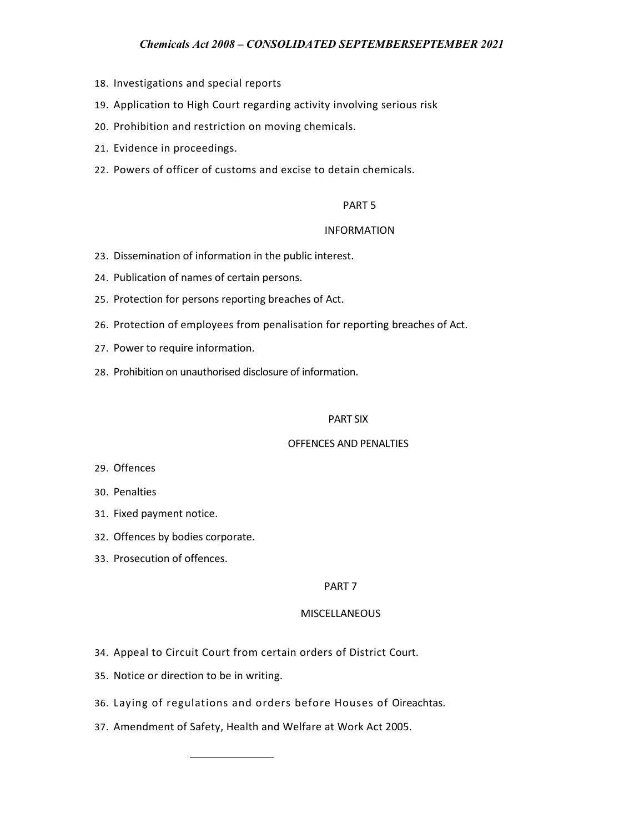- 18. Investigations and special reports
- 19. Application to High Court regarding activity involving serious risk
- 20. Prohibition and restriction on moving chemicals.
- 21. Evidence in proceedings.
- 22. Powers of officer of customs and excise to detain chemicals.

#### PART 5

#### INFORMATION

- 23. Dissemination of information in the public interest.
- 24. Publication of names of certain persons.
- 25. Protection for persons reporting breaches of Act.
- 26. Protection of employees from penalisation for reporting breaches of Act.
- 27. Power to require information.
- 28. Prohibition on unauthorised disclosure of information.

#### PART SIX

#### OFFENCES AND PENALTIES

- 29. Offences
- 30. Penalties
- 31. Fixed payment notice.
- 32. Offences by bodies corporate.
- 33. Prosecution of offences.

#### PART 7

#### MISCELLANEOUS

- 34. Appeal to Circuit Court from certain orders of District Court.
- 35. Notice or direction to be in writing.
- 36. Laying of regulations and orders before Houses of Oireachtas.
- 37. Amendment of Safety, Health and Welfare at Work Act 2005.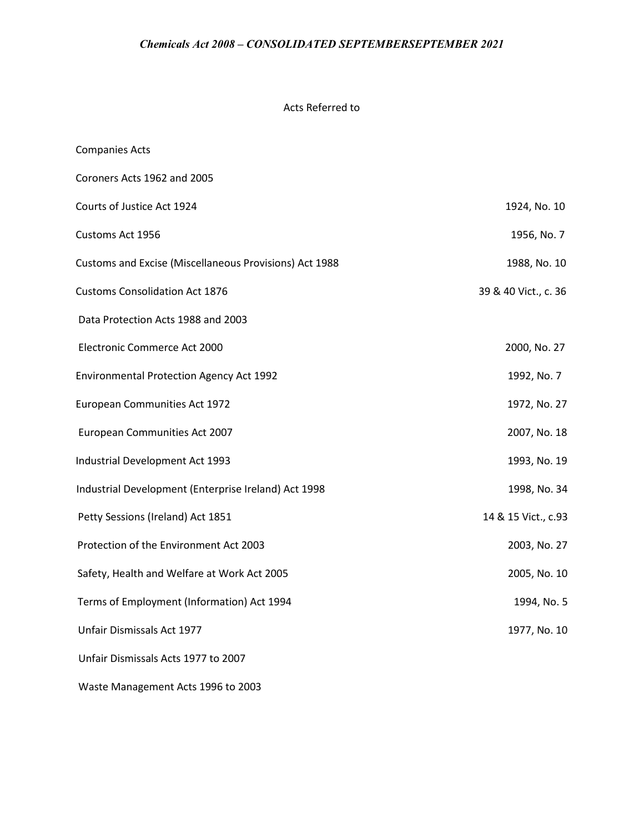# Acts Referred to

| <b>Companies Acts</b>                                  |                      |
|--------------------------------------------------------|----------------------|
| Coroners Acts 1962 and 2005                            |                      |
| Courts of Justice Act 1924                             | 1924, No. 10         |
| Customs Act 1956                                       | 1956, No. 7          |
| Customs and Excise (Miscellaneous Provisions) Act 1988 | 1988, No. 10         |
| <b>Customs Consolidation Act 1876</b>                  | 39 & 40 Vict., c. 36 |
| Data Protection Acts 1988 and 2003                     |                      |
| Electronic Commerce Act 2000                           | 2000, No. 27         |
| <b>Environmental Protection Agency Act 1992</b>        | 1992, No. 7          |
| European Communities Act 1972                          | 1972, No. 27         |
| European Communities Act 2007                          | 2007, No. 18         |
| Industrial Development Act 1993                        | 1993, No. 19         |
| Industrial Development (Enterprise Ireland) Act 1998   | 1998, No. 34         |
| Petty Sessions (Ireland) Act 1851                      | 14 & 15 Vict., c.93  |
| Protection of the Environment Act 2003                 | 2003, No. 27         |
| Safety, Health and Welfare at Work Act 2005            | 2005, No. 10         |
| Terms of Employment (Information) Act 1994             | 1994, No. 5          |
| Unfair Dismissals Act 1977                             | 1977, No. 10         |
| Unfair Dismissals Acts 1977 to 2007                    |                      |
|                                                        |                      |

Waste Management Acts 1996 to 2003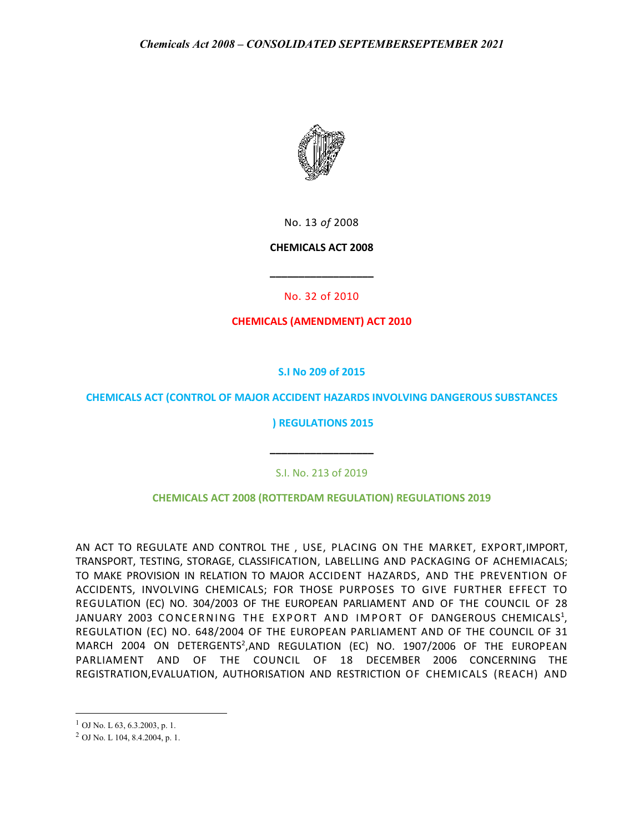

No. 13 *of* 2008

# **CHEMICALS ACT 2008**

No. 32 of 2010

**\_\_\_\_\_\_\_\_\_\_\_\_\_\_\_\_\_\_**

**CHEMICALS (AMENDMENT) ACT 2010**

# **S.I No 209 of 2015**

# **CHEMICALS ACT (CONTROL OF MAJOR ACCIDENT HAZARDS INVOLVING DANGEROUS SUBSTANCES**

**) REGULATIONS 2015**

S.I. No. 213 of 2019

**\_\_\_\_\_\_\_\_\_\_\_\_\_\_\_\_\_\_**

**CHEMICALS ACT 2008 (ROTTERDAM REGULATION) REGULATIONS 2019**

AN ACT TO REGULATE AND CONTROL THE , USE, PLACING ON THE MARKET, EXPORT,IMPORT, TRANSPORT, TESTING, STORAGE, CLASSIFICATION, LABELLING AND PACKAGING OF ACHEMIACALS; TO MAKE PROVISION IN RELATION TO MAJOR ACCIDENT HAZARDS, AND THE PREVENTION OF ACCIDENTS, INVOLVING CHEMICALS; FOR THOSE PURPOSES TO GIVE FURTHER EFFECT TO REGULATION (EC) NO. 304/2003 OF THE EUROPEAN PARLIAMENT AND OF THE COUNCIL OF 28 JANUARY 2003 CONCERNING THE EXPORT AND IMPORT OF DANGEROUS CHEMICALS<sup>1</sup>, REGULATION (EC) NO. 648/2004 OF THE EUROPEAN PARLIAMENT AND OF THE COUNCIL OF 31 MARCH 2004 ON DETERGENTS<sup>2</sup>,AND REGULATION (EC) NO. 1907/2006 OF THE EUROPEAN PARLIAMENT AND OF THE COUNCIL OF 18 DECEMBER 2006 CONCERNING THE REGISTRATION,EVALUATION, AUTHORISATION AND RESTRICTION OF CHEMICALS (REACH) AND

 $\overline{\phantom{a}}$ 

 $<sup>1</sup>$  OJ No. L 63, 6.3.2003, p. 1.</sup>

<sup>2</sup> OJ No. L 104, 8.4.2004, p. 1.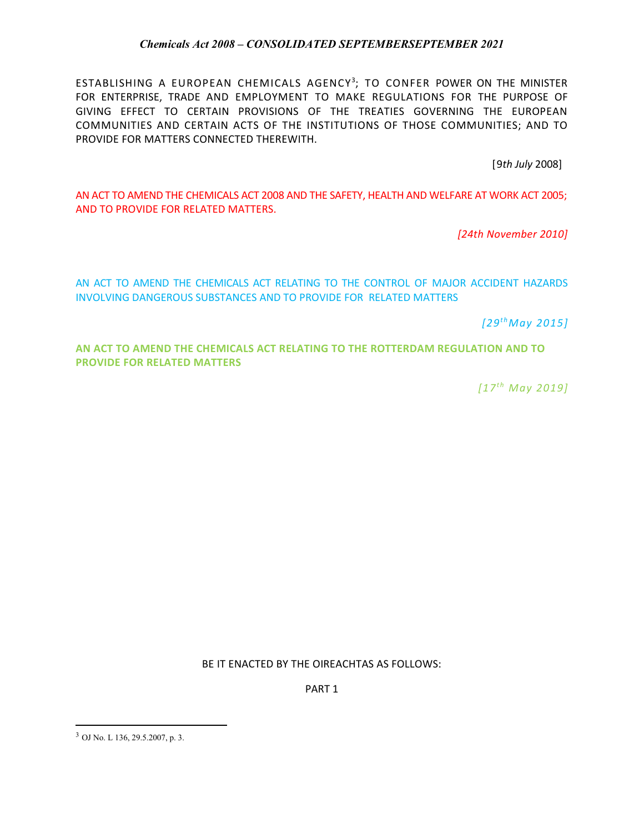ESTABLISHING A EUROPEAN CHEMICALS AGENCY<sup>3</sup>; TO CONFER POWER ON THE MINISTER FOR ENTERPRISE, TRADE AND EMPLOYMENT TO MAKE REGULATIONS FOR THE PURPOSE OF GIVING EFFECT TO CERTAIN PROVISIONS OF THE TREATIES GOVERNING THE EUROPEAN COMMUNITIES AND CERTAIN ACTS OF THE INSTITUTIONS OF THOSE COMMUNITIES; AND TO PROVIDE FOR MATTERS CONNECTED THEREWITH.

[9*th July* 2008]

AN ACT TO AMEND THE CHEMICALS ACT 2008 AND THE SAFETY, HEALTH AND WELFARE AT WORK ACT 2005; AND TO PROVIDE FOR RELATED MATTERS.

*[24th November 2010]*

AN ACT TO AMEND THE CHEMICALS ACT RELATING TO THE CONTROL OF MAJOR ACCIDENT HAZARDS INVOLVING DANGEROUS SUBSTANCES AND TO PROVIDE FOR RELATED MATTERS

*[29t hMay 2015]*

**AN ACT TO AMEND THE CHEMICALS ACT RELATING TO THE ROTTERDAM REGULATION AND TO PROVIDE FOR RELATED MATTERS**

*[17t h May 2019]*

BE IT ENACTED BY THE OIREACHTAS AS FOLLOWS:

PART 1

l

<sup>3</sup> OJ No. L 136, 29.5.2007, p. 3.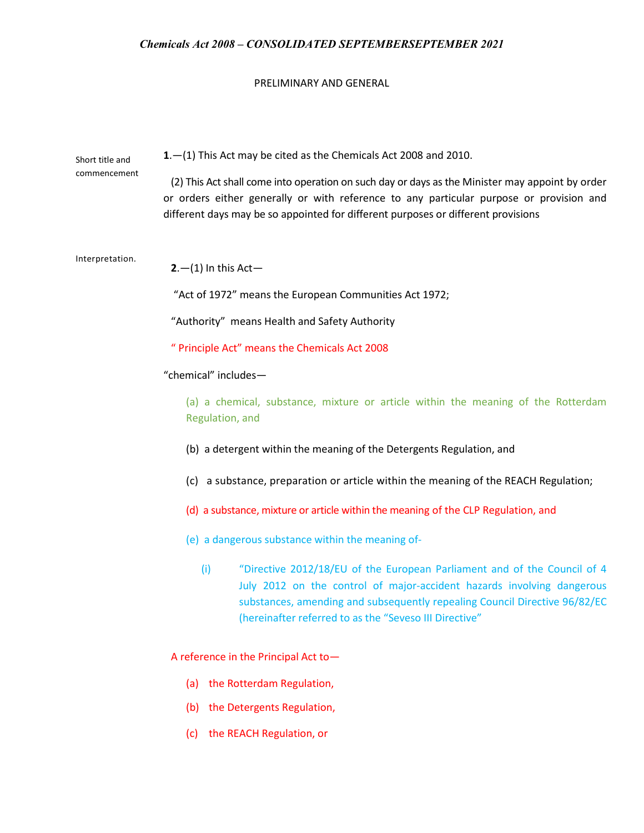### PRELIMINARY AND GENERAL

| Short title and<br>commencement | $1 - (1)$ This Act may be cited as the Chemicals Act 2008 and 2010.<br>(2) This Act shall come into operation on such day or days as the Minister may appoint by order<br>or orders either generally or with reference to any particular purpose or provision and<br>different days may be so appointed for different purposes or different provisions |
|---------------------------------|--------------------------------------------------------------------------------------------------------------------------------------------------------------------------------------------------------------------------------------------------------------------------------------------------------------------------------------------------------|
| Interpretation.                 | $2- (1)$ In this Act-                                                                                                                                                                                                                                                                                                                                  |
|                                 | "Act of 1972" means the European Communities Act 1972;                                                                                                                                                                                                                                                                                                 |
|                                 | "Authority" means Health and Safety Authority                                                                                                                                                                                                                                                                                                          |
|                                 | " Principle Act" means the Chemicals Act 2008                                                                                                                                                                                                                                                                                                          |
| "chemical" includes-            |                                                                                                                                                                                                                                                                                                                                                        |
|                                 | (a) a chemical, substance, mixture or article within the meaning of the Rotterdam<br>Regulation, and                                                                                                                                                                                                                                                   |
|                                 | (b) a detergent within the meaning of the Detergents Regulation, and                                                                                                                                                                                                                                                                                   |
|                                 | (c) a substance, preparation or article within the meaning of the REACH Regulation;                                                                                                                                                                                                                                                                    |
|                                 | (d) a substance, mixture or article within the meaning of the CLP Regulation, and                                                                                                                                                                                                                                                                      |
|                                 | (e) a dangerous substance within the meaning of-                                                                                                                                                                                                                                                                                                       |
|                                 | (i)<br>"Directive 2012/18/EU of the European Parliament and of the Council of 4<br>July 2012 on the control of major-accident hazards involving dangerous<br>substances, amending and subsequently repealing Council Directive 96/82/EC<br>(hereinafter referred to as the "Seveso III Directive"                                                      |

A reference in the Principal Act to—

- (a) the Rotterdam Regulation,
- (b) the Detergents Regulation,
- (c) the REACH Regulation, or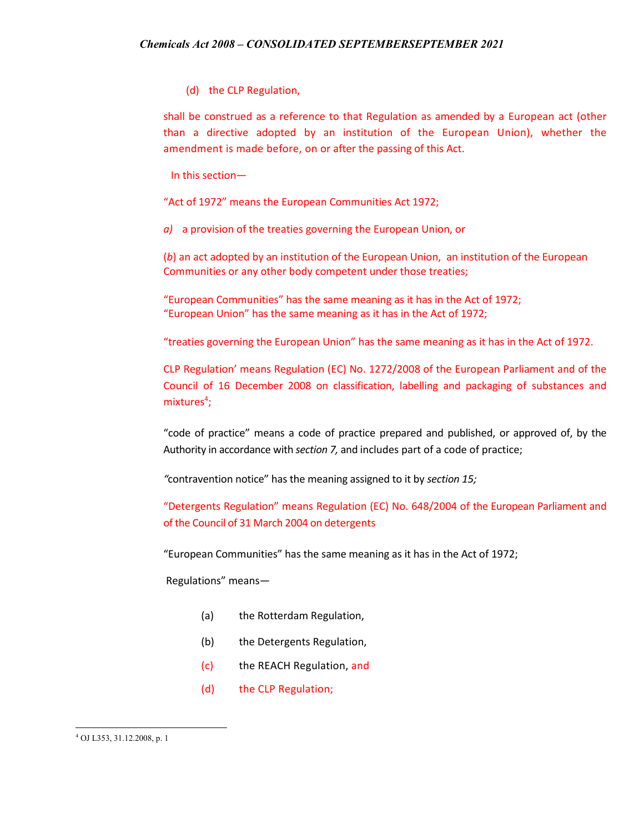(d) the CLP Regulation,

shall be construed as a reference to that Regulation as amended by a European act (other than a directive adopted by an institution of the European Union), whether the amendment is made before, on or after the passing of this Act.

In this section—

"Act of 1972" means the European Communities Act 1972;

*a)* a provision of the treaties governing the European Union, or

(*b*) an act adopted by an institution of the European Union, an institution of the European Communities or any other body competent under those treaties;

"European Communities" has the same meaning as it has in the Act of 1972; "European Union" has the same meaning as it has in the Act of 1972;

"treaties governing the European Union" has the same meaning as it has in the Act of 1972.

CLP Regulation' means Regulation (EC) No. 1272/2008 of the European Parliament and of the Council of 16 December 2008 on classification, labelling and packaging of substances and mixtures<sup>4</sup>;

"code of practice" means a code of practice prepared and published, or approved of, by the Authority in accordance with *section 7,* and includes part of a code of practice;

*"*contravention notice" has the meaning assigned to it by *section 15;*

"Detergents Regulation" means Regulation (EC) No. 648/2004 of the European Parliament and of the Council of 31 March 2004 on detergents

"European Communities" has the same meaning as it has in the Act of 1972;

Regulations" means—

- (a) the Rotterdam Regulation,
- (b) the Detergents Regulation,
- (c) the REACH Regulation, and
- (d) the CLP Regulation;

l

<sup>4</sup> OJ L353, 31.12.2008, p. 1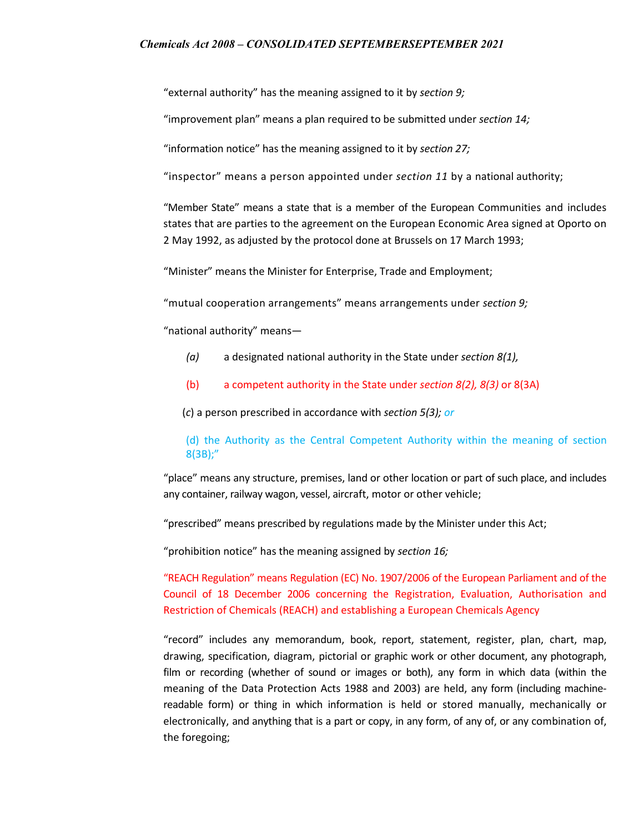"external authority" has the meaning assigned to it by *section 9;*

"improvement plan" means a plan required to be submitted under *section 14;*

"information notice" has the meaning assigned to it by *section 27;*

"inspector" means a person appointed under *section 11* by a national authority;

"Member State" means a state that is a member of the European Communities and includes states that are parties to the agreement on the European Economic Area signed at Oporto on 2 May 1992, as adjusted by the protocol done at Brussels on 17 March 1993;

"Minister" means the Minister for Enterprise, Trade and Employment;

"mutual cooperation arrangements" means arrangements under *section 9;*

"national authority" means—

- *(a)* a designated national authority in the State under *section 8(1),*
- (b) a competent authority in the State under *section 8(2), 8(3)* or 8(3A)

(*c*) a person prescribed in accordance with *section 5(3); or*

# (d) the Authority as the Central Competent Authority within the meaning of section 8(3B);"

"place" means any structure, premises, land or other location or part of such place, and includes any container, railway wagon, vessel, aircraft, motor or other vehicle;

"prescribed" means prescribed by regulations made by the Minister under this Act;

"prohibition notice" has the meaning assigned by *section 16;*

"REACH Regulation" means Regulation (EC) No. 1907/2006 of the European Parliament and of the Council of 18 December 2006 concerning the Registration, Evaluation, Authorisation and Restriction of Chemicals (REACH) and establishing a European Chemicals Agency

"record" includes any memorandum, book, report, statement, register, plan, chart, map, drawing, specification, diagram, pictorial or graphic work or other document, any photograph, film or recording (whether of sound or images or both), any form in which data (within the meaning of the Data Protection Acts 1988 and 2003) are held, any form (including machinereadable form) or thing in which information is held or stored manually, mechanically or electronically, and anything that is a part or copy, in any form, of any of, or any combination of, the foregoing;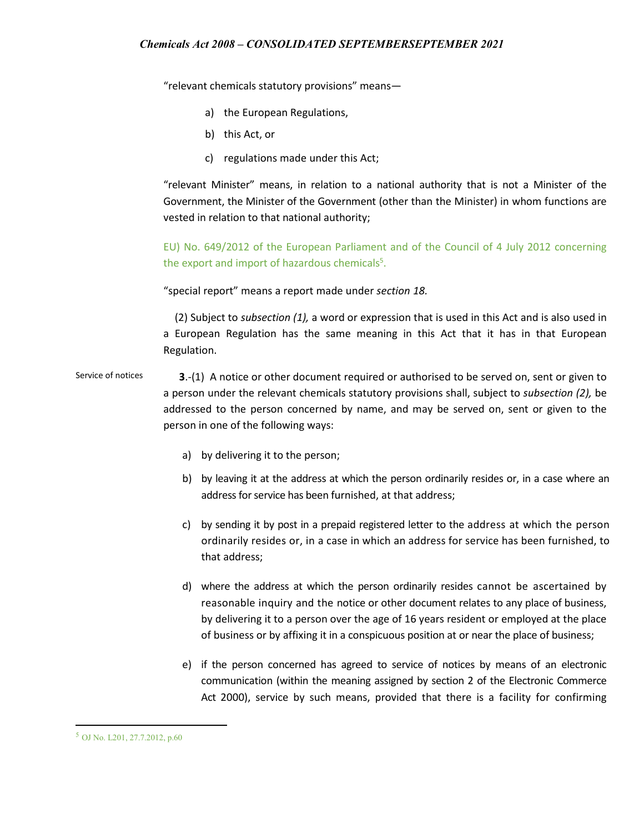"relevant chemicals statutory provisions" means—

- a) the European Regulations,
- b) this Act, or
- c) regulations made under this Act;

"relevant Minister" means, in relation to a national authority that is not a Minister of the Government, the Minister of the Government (other than the Minister) in whom functions are vested in relation to that national authority;

EU) No. 649/2012 of the European Parliament and of the Council of 4 July 2012 concerning the export and import of hazardous chemicals<sup>5</sup>.

"special report" means a report made under *section 18.*

(2) Subject to *subsection (1),* a word or expression that is used in this Act and is also used in a European Regulation has the same meaning in this Act that it has in that European Regulation.

Service of notices **3**.-(1) A notice or other document required or authorised to be served on, sent or given to a person under the relevant chemicals statutory provisions shall, subject to *subsection (2),* be addressed to the person concerned by name, and may be served on, sent or given to the person in one of the following ways:

- a) by delivering it to the person;
- b) by leaving it at the address at which the person ordinarily resides or, in a case where an address for service has been furnished, at that address;
- c) by sending it by post in a prepaid registered letter to the address at which the person ordinarily resides or, in a case in which an address for service has been furnished, to that address;
- d) where the address at which the person ordinarily resides cannot be ascertained by reasonable inquiry and the notice or other document relates to any place of business, by delivering it to a person over the age of 16 years resident or employed at the place of business or by affixing it in a conspicuous position at or near the place of business;
- e) if the person concerned has agreed to service of notices by means of an electronic communication (within the meaning assigned by section 2 of the Electronic Commerce Act 2000), service by such means, provided that there is a facility for confirming

l

<sup>5</sup> OJ No. L201, 27.7.2012, p.60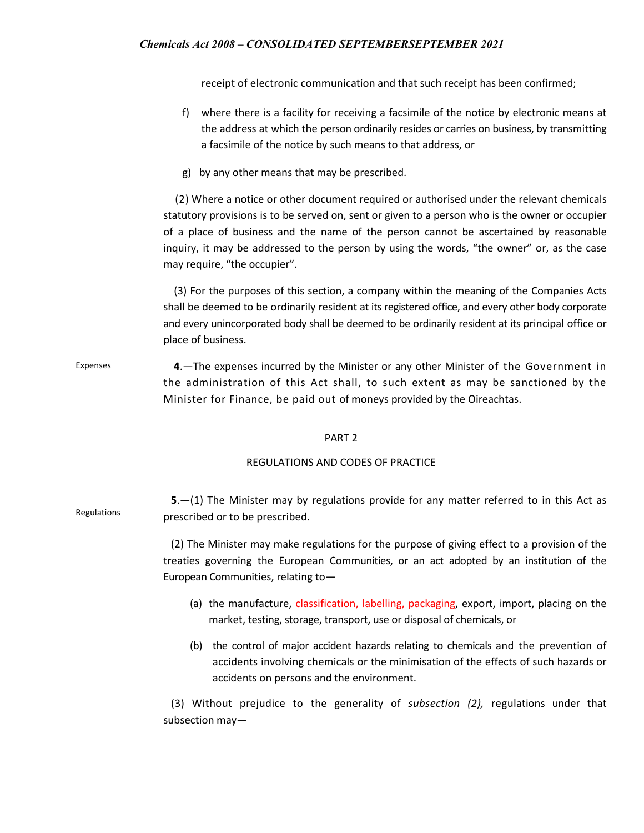receipt of electronic communication and that such receipt has been confirmed;

- f) where there is a facility for receiving a facsimile of the notice by electronic means at the address at which the person ordinarily resides or carries on business, by transmitting a facsimile of the notice by such means to that address, or
- g) by any other means that may be prescribed.

 (2) Where a notice or other document required or authorised under the relevant chemicals statutory provisions is to be served on, sent or given to a person who is the owner or occupier of a place of business and the name of the person cannot be ascertained by reasonable inquiry, it may be addressed to the person by using the words, "the owner" or, as the case may require, "the occupier".

 (3) For the purposes of this section, a company within the meaning of the Companies Acts shall be deemed to be ordinarily resident at its registered office, and every other body corporate and every unincorporated body shall be deemed to be ordinarily resident at its principal office or place of business.

Expenses **4**.—The expenses incurred by the Minister or any other Minister of the Government in the administration of this Act shall, to such extent as may be sanctioned by the Minister for Finance, be paid out of moneys provided by the Oireachtas.

#### PART 2

#### REGULATIONS AND CODES OF PRACTICE

| Regulations | $5-(1)$ The Minister may by regulations provide for any matter referred to in this Act as<br>prescribed or to be prescribed.                                                                                                  |
|-------------|-------------------------------------------------------------------------------------------------------------------------------------------------------------------------------------------------------------------------------|
|             | (2) The Minister may make regulations for the purpose of giving effect to a provision of the<br>treaties governing the European Communities, or an act adopted by an institution of the<br>European Communities, relating to- |
|             | (a) the manufacture, classification, labelling, packaging, export, import, placing on the<br>market, testing, storage, transport, use or disposal of chemicals, or                                                            |
|             | the control of major accident hazards relating to chemicals and the prevention of<br>(b)<br>accidents involving chemicals or the minimisation of the effects of such hazards or<br>accidents on persons and the environment.  |
|             | (3) Without prejudice to the generality of <i>subsection (2)</i> , regulations under that<br>subsection may-                                                                                                                  |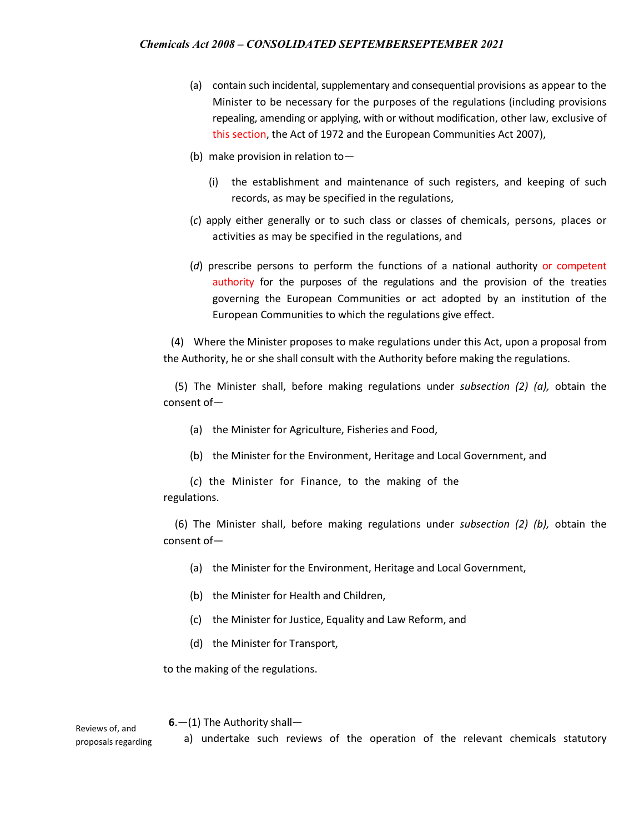- (a) contain such incidental, supplementary and consequential provisions as appear to the Minister to be necessary for the purposes of the regulations (including provisions repealing, amending or applying, with or without modification, other law, exclusive of this section, the Act of 1972 and the European Communities Act 2007),
- (b) make provision in relation to—
	- (i) the establishment and maintenance of such registers, and keeping of such records, as may be specified in the regulations,
- (*c*) apply either generally or to such class or classes of chemicals, persons, places or activities as may be specified in the regulations, and
- (*d*) prescribe persons to perform the functions of a national authority or competent authority for the purposes of the regulations and the provision of the treaties governing the European Communities or act adopted by an institution of the European Communities to which the regulations give effect.

(4) Where the Minister proposes to make regulations under this Act, upon a proposal from the Authority, he or she shall consult with the Authority before making the regulations.

(5) The Minister shall, before making regulations under *subsection (2) (a),* obtain the consent of—

- (a) the Minister for Agriculture, Fisheries and Food,
- (b) the Minister for the Environment, Heritage and Local Government, and

(*c*) the Minister for Finance, to the making of the regulations.

(6) The Minister shall, before making regulations under *subsection (2) (b),* obtain the consent of—

- (a) the Minister for the Environment, Heritage and Local Government,
- (b) the Minister for Health and Children,
- (c) the Minister for Justice, Equality and Law Reform, and
- (d) the Minister for Transport,

to the making of the regulations.

 **6**.—(1) The Authority shall—

a) undertake such reviews of the operation of the relevant chemicals statutory

Reviews of, and proposals regarding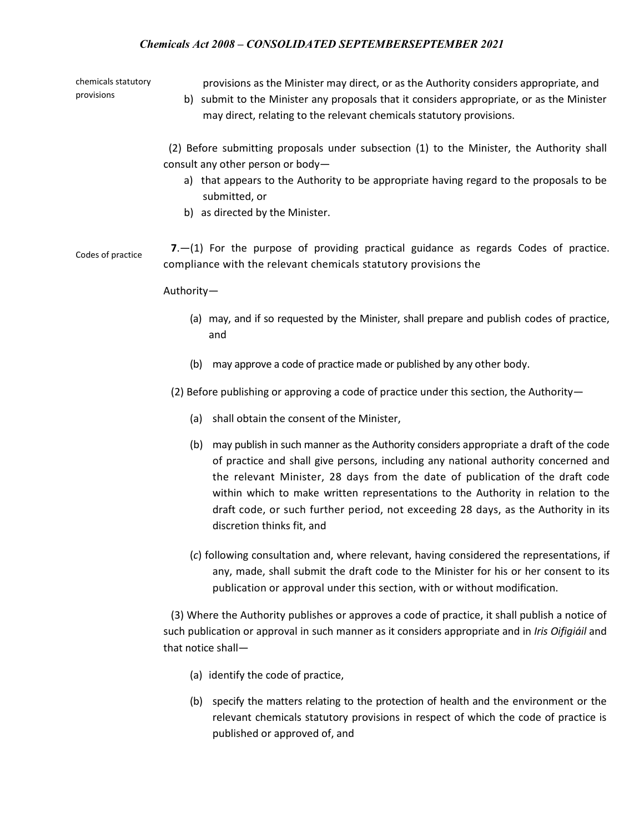chemicals statutory provisions

provisions as the Minister may direct, or as the Authority considers appropriate, and

b) submit to the Minister any proposals that it considers appropriate, or as the Minister may direct, relating to the relevant chemicals statutory provisions.

 (2) Before submitting proposals under subsection (1) to the Minister, the Authority shall consult any other person or body—

- a) that appears to the Authority to be appropriate having regard to the proposals to be submitted, or
- b) as directed by the Minister.

Codes of practice **<sup>7</sup>**.—(1) For the purpose of providing practical guidance as regards Codes of practice. compliance with the relevant chemicals statutory provisions the

Authority—

- (a) may, and if so requested by the Minister, shall prepare and publish codes of practice, and
- (b) may approve a code of practice made or published by any other body.

(2) Before publishing or approving a code of practice under this section, the Authority—

- (a) shall obtain the consent of the Minister,
- (b) may publish in such manner as the Authority considers appropriate a draft of the code of practice and shall give persons, including any national authority concerned and the relevant Minister, 28 days from the date of publication of the draft code within which to make written representations to the Authority in relation to the draft code, or such further period, not exceeding 28 days, as the Authority in its discretion thinks fit, and
- (*c*) following consultation and, where relevant, having considered the representations, if any, made, shall submit the draft code to the Minister for his or her consent to its publication or approval under this section, with or without modification.

(3) Where the Authority publishes or approves a code of practice, it shall publish a notice of such publication or approval in such manner as it considers appropriate and in *Iris Oifigiáil* and that notice shall—

- (a) identify the code of practice,
- (b) specify the matters relating to the protection of health and the environment or the relevant chemicals statutory provisions in respect of which the code of practice is published or approved of, and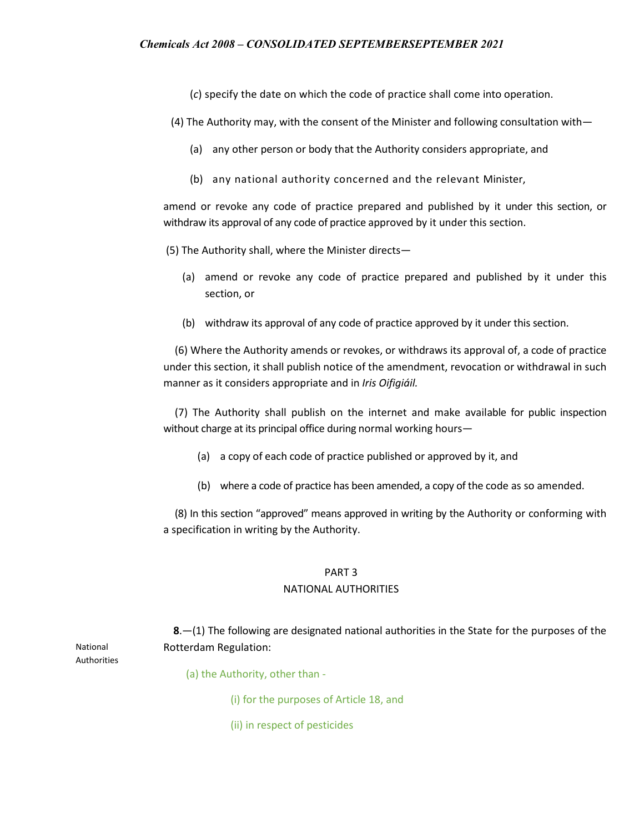(*c*) specify the date on which the code of practice shall come into operation.

(4) The Authority may, with the consent of the Minister and following consultation with—

- (a) any other person or body that the Authority considers appropriate, and
- (b) any national authority concerned and the relevant Minister,

amend or revoke any code of practice prepared and published by it under this section, or withdraw its approval of any code of practice approved by it under this section.

(5) The Authority shall, where the Minister directs—

- (a) amend or revoke any code of practice prepared and published by it under this section, or
- (b) withdraw its approval of any code of practice approved by it under this section.

(6) Where the Authority amends or revokes, or withdraws its approval of, a code of practice under this section, it shall publish notice of the amendment, revocation or withdrawal in such manner as it considers appropriate and in *Iris Oifigiáil.*

(7) The Authority shall publish on the internet and make available for public inspection without charge at its principal office during normal working hours—

- (a) a copy of each code of practice published or approved by it, and
- (b) where a code of practice has been amended, a copy of the code as so amended.

(8) In this section "approved" means approved in writing by the Authority or conforming with a specification in writing by the Authority.

# PART 3

#### NATIONAL AUTHORITIES

 **8**.—(1) The following are designated national authorities in the State for the purposes of the Rotterdam Regulation:

National Authorities

- (a) the Authority, other than
	- (i) for the purposes of Article 18, and
	- (ii) in respect of pesticides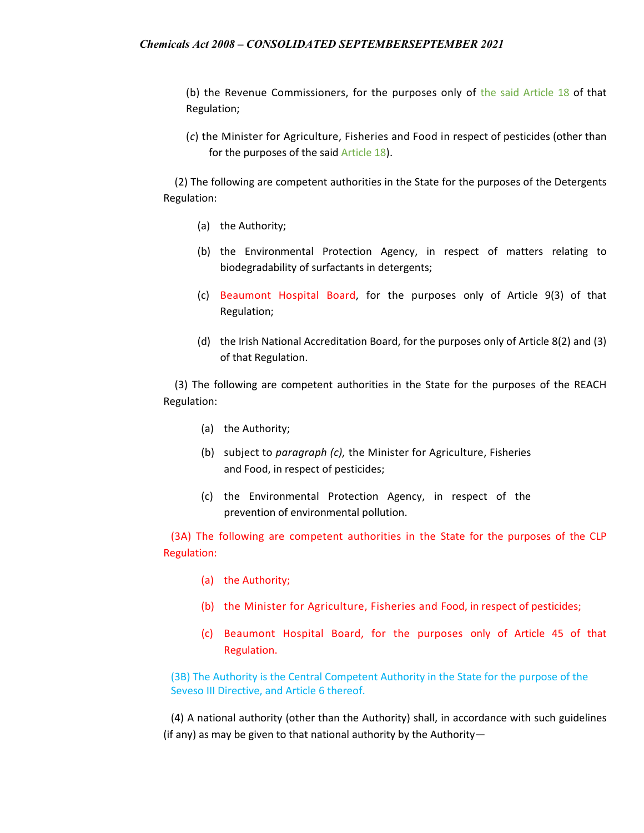(b) the Revenue Commissioners, for the purposes only of the said Article 18 of that Regulation;

(*c*) the Minister for Agriculture, Fisheries and Food in respect of pesticides (other than for the purposes of the said Article 18).

(2) The following are competent authorities in the State for the purposes of the Detergents Regulation:

- (a) the Authority;
- (b) the Environmental Protection Agency, in respect of matters relating to biodegradability of surfactants in detergents;
- (c) Beaumont Hospital Board, for the purposes only of Article 9(3) of that Regulation;
- (d) the Irish National Accreditation Board, for the purposes only of Article 8(2) and (3) of that Regulation.

(3) The following are competent authorities in the State for the purposes of the REACH Regulation:

- (a) the Authority;
- (b) subject to *paragraph (c),* the Minister for Agriculture, Fisheries and Food, in respect of pesticides;
- (c) the Environmental Protection Agency, in respect of the prevention of environmental pollution.

(3A) The following are competent authorities in the State for the purposes of the CLP Regulation:

- (a) the Authority;
- (b) the Minister for Agriculture, Fisheries and Food, in respect of pesticides;
- (c) Beaumont Hospital Board, for the purposes only of Article 45 of that Regulation.

(3B) The Authority is the Central Competent Authority in the State for the purpose of the Seveso III Directive, and Article 6 thereof.

(4) A national authority (other than the Authority) shall, in accordance with such guidelines (if any) as may be given to that national authority by the Authority—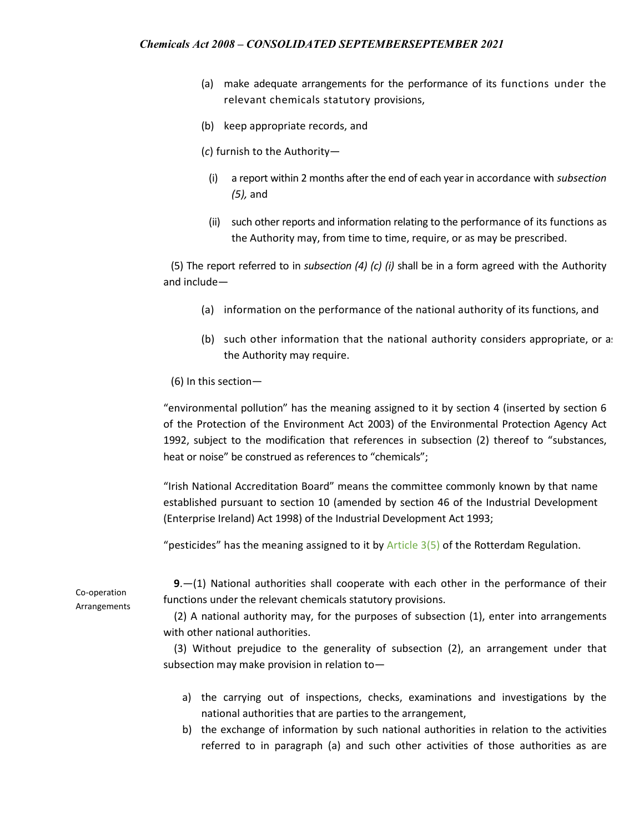- (a) make adequate arrangements for the performance of its functions under the relevant chemicals statutory provisions,
- (b) keep appropriate records, and
- (*c*) furnish to the Authority—
	- (i) a report within 2 months after the end of each year in accordance with *subsection (5),* and
	- (ii) such other reports and information relating to the performance of its functions as the Authority may, from time to time, require, or as may be prescribed.

(5) The report referred to in *subsection (4) (c) (i)* shall be in a form agreed with the Authority and include—

- (a) information on the performance of the national authority of its functions, and
- (b) such other information that the national authority considers appropriate, or as the Authority may require.

#### (6) In this section—

"environmental pollution" has the meaning assigned to it by section 4 (inserted by section 6 of the Protection of the Environment Act 2003) of the Environmental Protection Agency Act 1992, subject to the modification that references in subsection (2) thereof to "substances, heat or noise" be construed as references to "chemicals";

"Irish National Accreditation Board" means the committee commonly known by that name established pursuant to section 10 (amended by section 46 of the Industrial Development (Enterprise Ireland) Act 1998) of the Industrial Development Act 1993;

"pesticides" has the meaning assigned to it by  $Article$  3(5) of the Rotterdam Regulation.

Co-operation Arrangements

 **9**.—(1) National authorities shall cooperate with each other in the performance of their functions under the relevant chemicals statutory provisions.

 (2) A national authority may, for the purposes of subsection (1), enter into arrangements with other national authorities.

 (3) Without prejudice to the generality of subsection (2), an arrangement under that subsection may make provision in relation to—

- a) the carrying out of inspections, checks, examinations and investigations by the national authorities that are parties to the arrangement,
- b) the exchange of information by such national authorities in relation to the activities referred to in paragraph (a) and such other activities of those authorities as are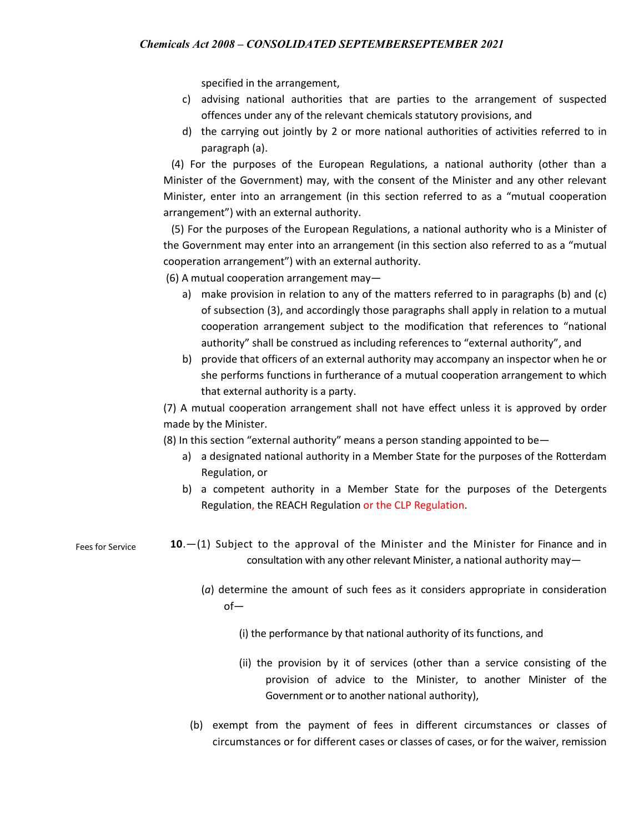specified in the arrangement,

- c) advising national authorities that are parties to the arrangement of suspected offences under any of the relevant chemicals statutory provisions, and
- d) the carrying out jointly by 2 or more national authorities of activities referred to in paragraph (a).

 (4) For the purposes of the European Regulations, a national authority (other than a Minister of the Government) may, with the consent of the Minister and any other relevant Minister, enter into an arrangement (in this section referred to as a "mutual cooperation arrangement") with an external authority.

 (5) For the purposes of the European Regulations, a national authority who is a Minister of the Government may enter into an arrangement (in this section also referred to as a "mutual cooperation arrangement") with an external authority.

(6) A mutual cooperation arrangement may—

- a) make provision in relation to any of the matters referred to in paragraphs (b) and (c) of subsection (3), and accordingly those paragraphs shall apply in relation to a mutual cooperation arrangement subject to the modification that references to "national authority" shall be construed as including references to "external authority", and
- b) provide that officers of an external authority may accompany an inspector when he or she performs functions in furtherance of a mutual cooperation arrangement to which that external authority is a party.

(7) A mutual cooperation arrangement shall not have effect unless it is approved by order made by the Minister.

(8) In this section "external authority" means a person standing appointed to be—

- a) a designated national authority in a Member State for the purposes of the Rotterdam Regulation, or
- b) a competent authority in a Member State for the purposes of the Detergents Regulation, the REACH Regulation or the CLP Regulation.
- Fees for Service **10**.—(1) Subject to the approval of the Minister and the Minister for Finance and in consultation with any other relevant Minister, a national authority may—
	- (*a*) determine the amount of such fees as it considers appropriate in consideration of—

(i) the performance by that national authority of its functions, and

- (ii) the provision by it of services (other than a service consisting of the provision of advice to the Minister, to another Minister of the Government or to another national authority),
- (b) exempt from the payment of fees in different circumstances or classes of circumstances or for different cases or classes of cases, or for the waiver, remission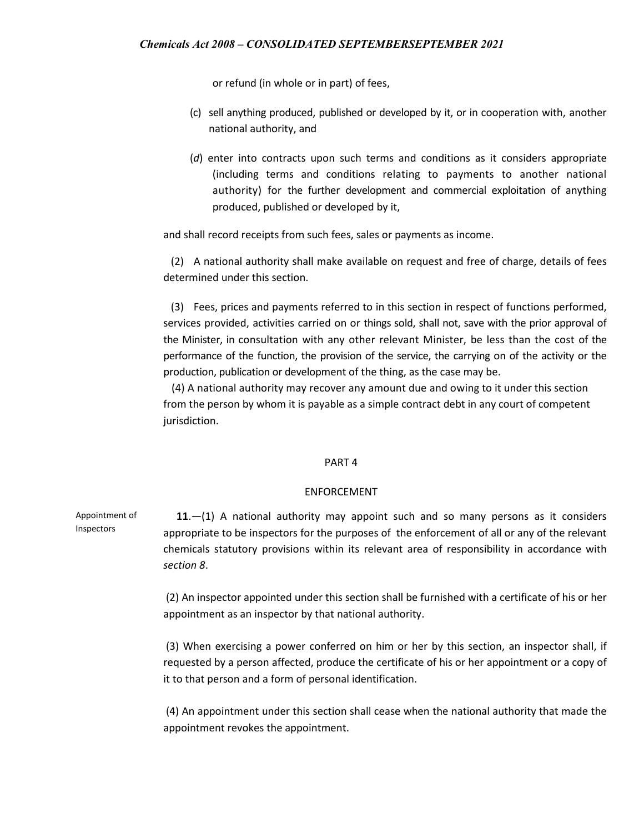or refund (in whole or in part) of fees,

- (c) sell anything produced, published or developed by it, or in cooperation with, another national authority, and
- (*d*) enter into contracts upon such terms and conditions as it considers appropriate (including terms and conditions relating to payments to another national authority) for the further development and commercial exploitation of anything produced, published or developed by it,

and shall record receipts from such fees, sales or payments as income.

(2) A national authority shall make available on request and free of charge, details of fees determined under this section.

(3) Fees, prices and payments referred to in this section in respect of functions performed, services provided, activities carried on or things sold, shall not, save with the prior approval of the Minister, in consultation with any other relevant Minister, be less than the cost of the performance of the function, the provision of the service, the carrying on of the activity or the production, publication or development of the thing, as the case may be.

 (4) A national authority may recover any amount due and owing to it under this section from the person by whom it is payable as a simple contract debt in any court of competent jurisdiction.

#### PART 4

#### ENFORCEMENT

Appointment of Inspectors  **11**.—(1) A national authority may appoint such and so many persons as it considers appropriate to be inspectors for the purposes of the enforcement of all or any of the relevant chemicals statutory provisions within its relevant area of responsibility in accordance with *section 8*.

> (2) An inspector appointed under this section shall be furnished with a certificate of his or her appointment as an inspector by that national authority.

> (3) When exercising a power conferred on him or her by this section, an inspector shall, if requested by a person affected, produce the certificate of his or her appointment or a copy of it to that person and a form of personal identification.

> (4) An appointment under this section shall cease when the national authority that made the appointment revokes the appointment.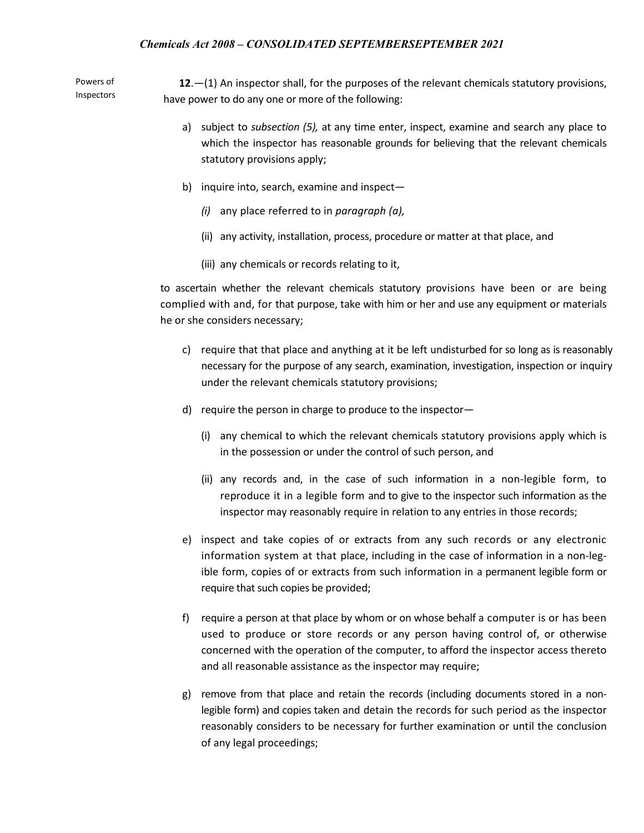Powers of Inspectors

 **12**.—(1) An inspector shall, for the purposes of the relevant chemicals statutory provisions, have power to do any one or more of the following:

- a) subject to *subsection (5),* at any time enter, inspect, examine and search any place to which the inspector has reasonable grounds for believing that the relevant chemicals statutory provisions apply;
- b) inquire into, search, examine and inspect—
	- *(i)* any place referred to in *paragraph (a),*
	- (ii) any activity, installation, process, procedure or matter at that place, and
	- (iii) any chemicals or records relating to it,

to ascertain whether the relevant chemicals statutory provisions have been or are being complied with and, for that purpose, take with him or her and use any equipment or materials he or she considers necessary;

- c) require that that place and anything at it be left undisturbed for so long as is reasonably necessary for the purpose of any search, examination, investigation, inspection or inquiry under the relevant chemicals statutory provisions;
- d) require the person in charge to produce to the inspector—
	- (i) any chemical to which the relevant chemicals statutory provisions apply which is in the possession or under the control of such person, and
	- (ii) any records and, in the case of such information in a non-legible form, to reproduce it in a legible form and to give to the inspector such information as the inspector may reasonably require in relation to any entries in those records;
- e) inspect and take copies of or extracts from any such records or any electronic information system at that place, including in the case of information in a non-legible form, copies of or extracts from such information in a permanent legible form or require that such copies be provided;
- f) require a person at that place by whom or on whose behalf a computer is or has been used to produce or store records or any person having control of, or otherwise concerned with the operation of the computer, to afford the inspector access thereto and all reasonable assistance as the inspector may require;
- g) remove from that place and retain the records (including documents stored in a nonlegible form) and copies taken and detain the records for such period as the inspector reasonably considers to be necessary for further examination or until the conclusion of any legal proceedings;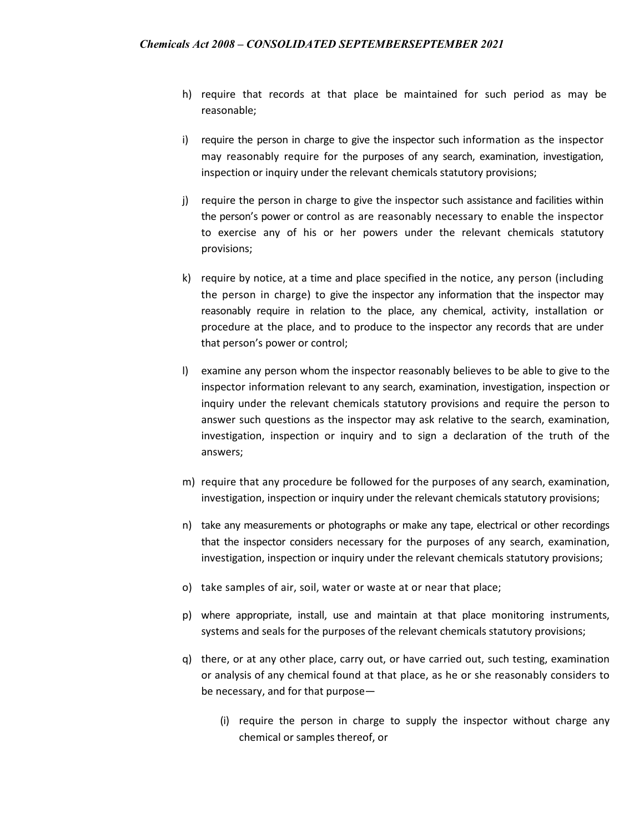- h) require that records at that place be maintained for such period as may be reasonable;
- i) require the person in charge to give the inspector such information as the inspector may reasonably require for the purposes of any search, examination, investigation, inspection or inquiry under the relevant chemicals statutory provisions;
- j) require the person in charge to give the inspector such assistance and facilities within the person's power or control as are reasonably necessary to enable the inspector to exercise any of his or her powers under the relevant chemicals statutory provisions;
- k) require by notice, at a time and place specified in the notice, any person (including the person in charge) to give the inspector any information that the inspector may reasonably require in relation to the place, any chemical, activity, installation or procedure at the place, and to produce to the inspector any records that are under that person's power or control;
- l) examine any person whom the inspector reasonably believes to be able to give to the inspector information relevant to any search, examination, investigation, inspection or inquiry under the relevant chemicals statutory provisions and require the person to answer such questions as the inspector may ask relative to the search, examination, investigation, inspection or inquiry and to sign a declaration of the truth of the answers;
- m) require that any procedure be followed for the purposes of any search, examination, investigation, inspection or inquiry under the relevant chemicals statutory provisions;
- n) take any measurements or photographs or make any tape, electrical or other recordings that the inspector considers necessary for the purposes of any search, examination, investigation, inspection or inquiry under the relevant chemicals statutory provisions;
- o) take samples of air, soil, water or waste at or near that place;
- p) where appropriate, install, use and maintain at that place monitoring instruments, systems and seals for the purposes of the relevant chemicals statutory provisions;
- q) there, or at any other place, carry out, or have carried out, such testing, examination or analysis of any chemical found at that place, as he or she reasonably considers to be necessary, and for that purpose—
	- (i) require the person in charge to supply the inspector without charge any chemical or samples thereof, or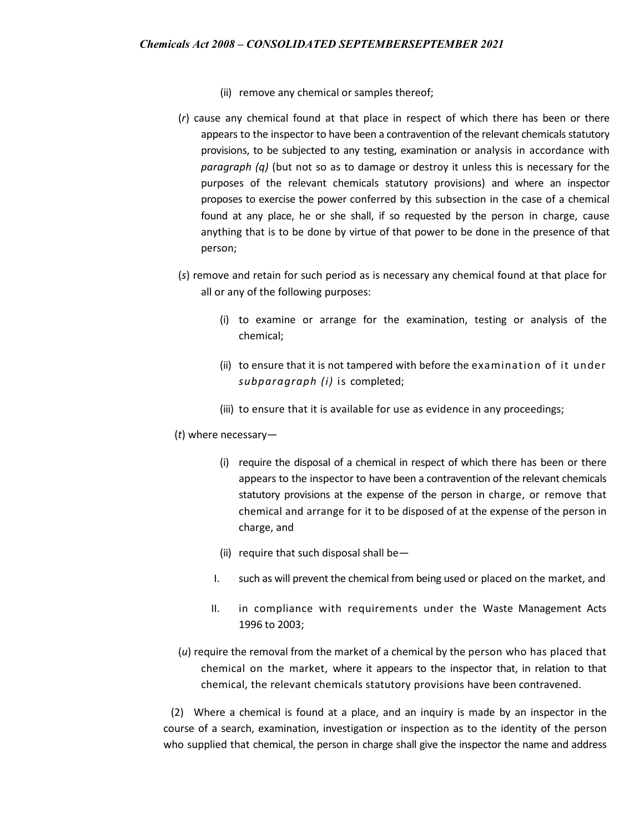- (ii) remove any chemical or samples thereof;
- (*r*) cause any chemical found at that place in respect of which there has been or there appears to the inspector to have been a contravention of the relevant chemicals statutory provisions, to be subjected to any testing, examination or analysis in accordance with *paragraph (q)* (but not so as to damage or destroy it unless this is necessary for the purposes of the relevant chemicals statutory provisions) and where an inspector proposes to exercise the power conferred by this subsection in the case of a chemical found at any place, he or she shall, if so requested by the person in charge, cause anything that is to be done by virtue of that power to be done in the presence of that person;
- (*s*) remove and retain for such period as is necessary any chemical found at that place for all or any of the following purposes:
	- (i) to examine or arrange for the examination, testing or analysis of the chemical;
	- (ii) to ensure that it is not tampered with before the examination of it under *subparagraph (i)* is completed;
	- (iii) to ensure that it is available for use as evidence in any proceedings;
- (*t*) where necessary—
	- (i) require the disposal of a chemical in respect of which there has been or there appears to the inspector to have been a contravention of the relevant chemicals statutory provisions at the expense of the person in charge, or remove that chemical and arrange for it to be disposed of at the expense of the person in charge, and
	- (ii) require that such disposal shall be—
	- I. such as will prevent the chemical from being used or placed on the market, and
	- II. in compliance with requirements under the Waste Management Acts 1996 to 2003;
- (*u*) require the removal from the market of a chemical by the person who has placed that chemical on the market, where it appears to the inspector that, in relation to that chemical, the relevant chemicals statutory provisions have been contravened.

(2) Where a chemical is found at a place, and an inquiry is made by an inspector in the course of a search, examination, investigation or inspection as to the identity of the person who supplied that chemical, the person in charge shall give the inspector the name and address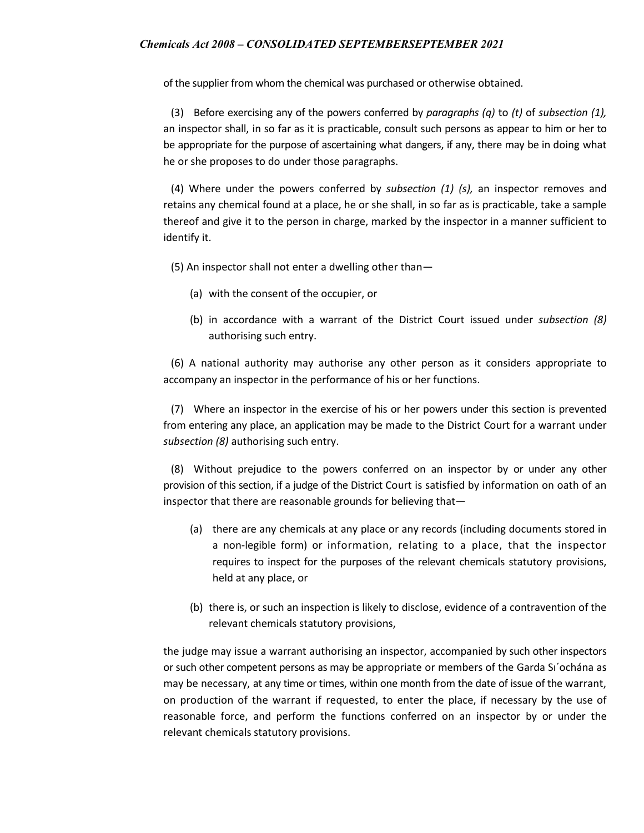of the supplier from whom the chemical was purchased or otherwise obtained.

(3) Before exercising any of the powers conferred by *paragraphs (q)* to *(t)* of *subsection (1),*  an inspector shall, in so far as it is practicable, consult such persons as appear to him or her to be appropriate for the purpose of ascertaining what dangers, if any, there may be in doing what he or she proposes to do under those paragraphs.

(4) Where under the powers conferred by *subsection (1) (s),* an inspector removes and retains any chemical found at a place, he or she shall, in so far as is practicable, take a sample thereof and give it to the person in charge, marked by the inspector in a manner sufficient to identify it.

(5) An inspector shall not enter a dwelling other than—

- (a) with the consent of the occupier, or
- (b) in accordance with a warrant of the District Court issued under *subsection (8)*  authorising such entry.

(6) A national authority may authorise any other person as it considers appropriate to accompany an inspector in the performance of his or her functions.

(7) Where an inspector in the exercise of his or her powers under this section is prevented from entering any place, an application may be made to the District Court for a warrant under *subsection (8)* authorising such entry.

(8) Without prejudice to the powers conferred on an inspector by or under any other provision of this section, if a judge of the District Court is satisfied by information on oath of an inspector that there are reasonable grounds for believing that—

- (a) there are any chemicals at any place or any records (including documents stored in a non-legible form) or information, relating to a place, that the inspector requires to inspect for the purposes of the relevant chemicals statutory provisions, held at any place, or
- (b) there is, or such an inspection is likely to disclose, evidence of a contravention of the relevant chemicals statutory provisions,

the judge may issue a warrant authorising an inspector, accompanied by such other inspectors or such other competent persons as may be appropriate or members of the Garda Sı´ochána as may be necessary, at any time or times, within one month from the date of issue of the warrant, on production of the warrant if requested, to enter the place, if necessary by the use of reasonable force, and perform the functions conferred on an inspector by or under the relevant chemicals statutory provisions.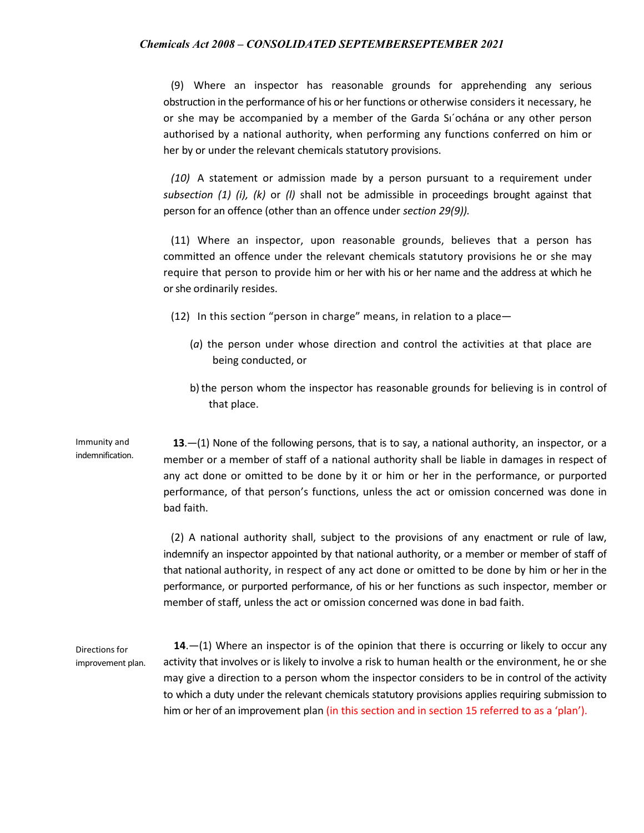(9) Where an inspector has reasonable grounds for apprehending any serious obstruction in the performance of his or her functions or otherwise considers it necessary, he or she may be accompanied by a member of the Garda Sı´ochána or any other person authorised by a national authority, when performing any functions conferred on him or her by or under the relevant chemicals statutory provisions.

*(10)* A statement or admission made by a person pursuant to a requirement under *subsection (1) (i), (k)* or *(l)* shall not be admissible in proceedings brought against that person for an offence (other than an offence under *section 29(9)).*

(11) Where an inspector, upon reasonable grounds, believes that a person has committed an offence under the relevant chemicals statutory provisions he or she may require that person to provide him or her with his or her name and the address at which he or she ordinarily resides.

- (12) In this section "person in charge" means, in relation to a place—
	- (*a*) the person under whose direction and control the activities at that place are being conducted, or
	- b) the person whom the inspector has reasonable grounds for believing is in control of that place.

Immunity and indemnification.  **13**.—(1) None of the following persons, that is to say, a national authority, an inspector, or a member or a member of staff of a national authority shall be liable in damages in respect of any act done or omitted to be done by it or him or her in the performance, or purported performance, of that person's functions, unless the act or omission concerned was done in bad faith.

> (2) A national authority shall, subject to the provisions of any enactment or rule of law, indemnify an inspector appointed by that national authority, or a member or member of staff of that national authority, in respect of any act done or omitted to be done by him or her in the performance, or purported performance, of his or her functions as such inspector, member or member of staff, unless the act or omission concerned was done in bad faith.

Directions for improvement plan.  **14**.—(1) Where an inspector is of the opinion that there is occurring or likely to occur any activity that involves or is likely to involve a risk to human health or the environment, he or she may give a direction to a person whom the inspector considers to be in control of the activity to which a duty under the relevant chemicals statutory provisions applies requiring submission to him or her of an improvement plan (in this section and in section 15 referred to as a 'plan').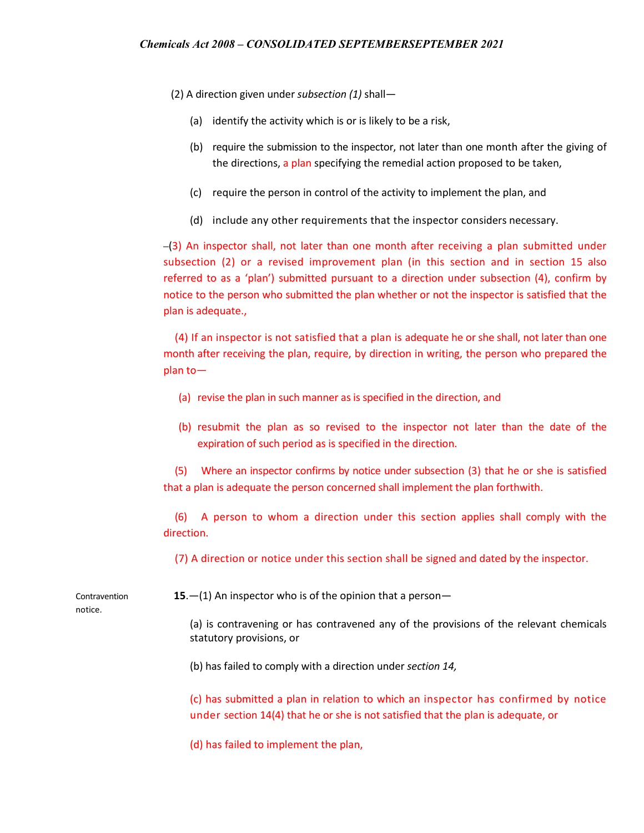(2) A direction given under *subsection (1)* shall—

- (a) identify the activity which is or is likely to be a risk,
- (b) require the submission to the inspector, not later than one month after the giving of the directions, a plan specifying the remedial action proposed to be taken,
- (c) require the person in control of the activity to implement the plan, and
- (d) include any other requirements that the inspector considers necessary.

 (3) An inspector shall, not later than one month after receiving a plan submitted under subsection (2) or a revised improvement plan (in this section and in section 15 also referred to as a 'plan') submitted pursuant to a direction under subsection (4), confirm by notice to the person who submitted the plan whether or not the inspector is satisfied that the plan is adequate.,

(4) If an inspector is not satisfied that a plan is adequate he or she shall, not later than one month after receiving the plan, require, by direction in writing, the person who prepared the plan to—

- (a) revise the plan in such manner as is specified in the direction, and
- (b) resubmit the plan as so revised to the inspector not later than the date of the expiration of such period as is specified in the direction.

(5) Where an inspector confirms by notice under subsection (3) that he or she is satisfied that a plan is adequate the person concerned shall implement the plan forthwith.

(6) A person to whom a direction under this section applies shall comply with the direction.

(7) A direction or notice under this section shall be signed and dated by the inspector.

Contravention notice.

**15**.—(1) An inspector who is of the opinion that a person—

(a) is contravening or has contravened any of the provisions of the relevant chemicals statutory provisions, or

(b) has failed to comply with a direction under *section 14,*

(c) has submitted a plan in relation to which an inspector has confirmed by notice under section 14(4) that he or she is not satisfied that the plan is adequate, or

(d) has failed to implement the plan,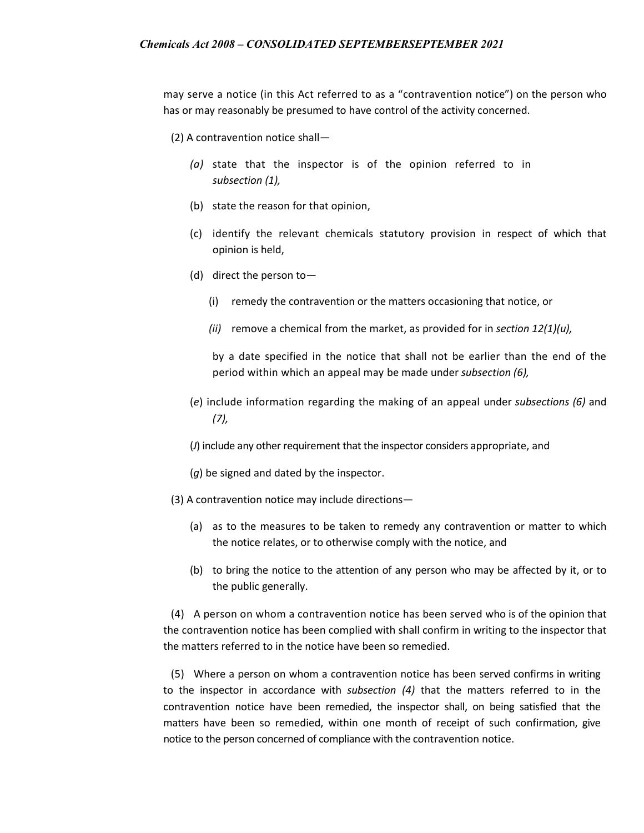may serve a notice (in this Act referred to as a "contravention notice") on the person who has or may reasonably be presumed to have control of the activity concerned.

(2) A contravention notice shall—

- *(a)* state that the inspector is of the opinion referred to in *subsection (1),*
- (b) state the reason for that opinion,
- (c) identify the relevant chemicals statutory provision in respect of which that opinion is held,
- (d) direct the person to—
	- (i) remedy the contravention or the matters occasioning that notice, or
	- *(ii)* remove a chemical from the market, as provided for in *section 12(1)(u),*

by a date specified in the notice that shall not be earlier than the end of the period within which an appeal may be made under *subsection (6),*

(*e*) include information regarding the making of an appeal under *subsections (6)* and *(7),*

(*J*) include any other requirement that the inspector considers appropriate, and

- (*g*) be signed and dated by the inspector.
- (3) A contravention notice may include directions—
	- (a) as to the measures to be taken to remedy any contravention or matter to which the notice relates, or to otherwise comply with the notice, and
	- (b) to bring the notice to the attention of any person who may be affected by it, or to the public generally.

(4) A person on whom a contravention notice has been served who is of the opinion that the contravention notice has been complied with shall confirm in writing to the inspector that the matters referred to in the notice have been so remedied.

(5) Where a person on whom a contravention notice has been served confirms in writing to the inspector in accordance with *subsection (4)* that the matters referred to in the contravention notice have been remedied, the inspector shall, on being satisfied that the matters have been so remedied, within one month of receipt of such confirmation, give notice to the person concerned of compliance with the contravention notice.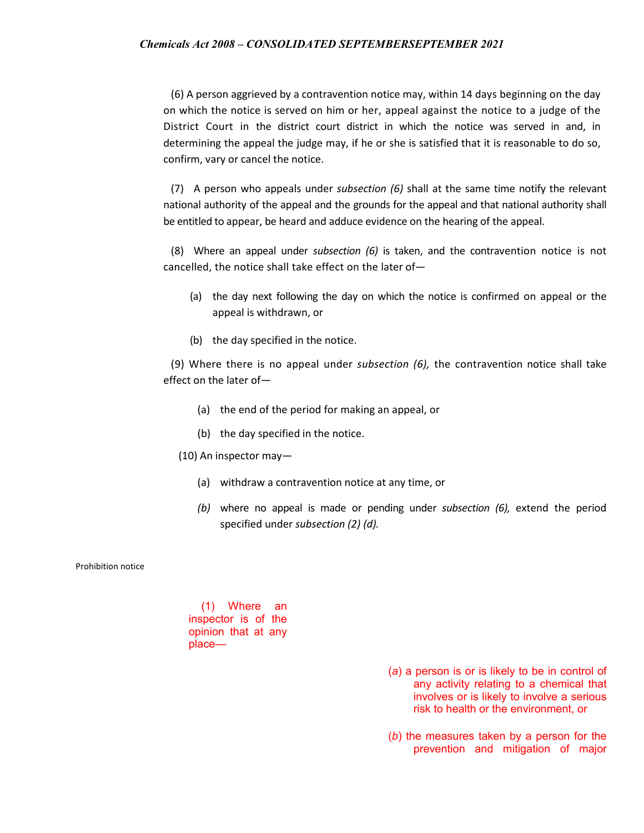(6) A person aggrieved by a contravention notice may, within 14 days beginning on the day on which the notice is served on him or her, appeal against the notice to a judge of the District Court in the district court district in which the notice was served in and, in determining the appeal the judge may, if he or she is satisfied that it is reasonable to do so, confirm, vary or cancel the notice.

(7) A person who appeals under *subsection (6)* shall at the same time notify the relevant national authority of the appeal and the grounds for the appeal and that national authority shall be entitled to appear, be heard and adduce evidence on the hearing of the appeal.

(8) Where an appeal under *subsection (6)* is taken, and the contravention notice is not cancelled, the notice shall take effect on the later of—

- (a) the day next following the day on which the notice is confirmed on appeal or the appeal is withdrawn, or
- (b) the day specified in the notice.

(9) Where there is no appeal under *subsection (6),* the contravention notice shall take effect on the later of—

- (a) the end of the period for making an appeal, or
- (b) the day specified in the notice.
- (10) An inspector may—
	- (a) withdraw a contravention notice at any time, or
	- *(b)* where no appeal is made or pending under *subsection (6),* extend the period specified under *subsection (2) (d).*

Prohibition notice

(1) Where an inspector is of the opinion that at any place—

- (*a*) a person is or is likely to be in control of any activity relating to a chemical that involves or is likely to involve a serious risk to health or the environment, or
- (*b*) the measures taken by a person for the prevention and mitigation of major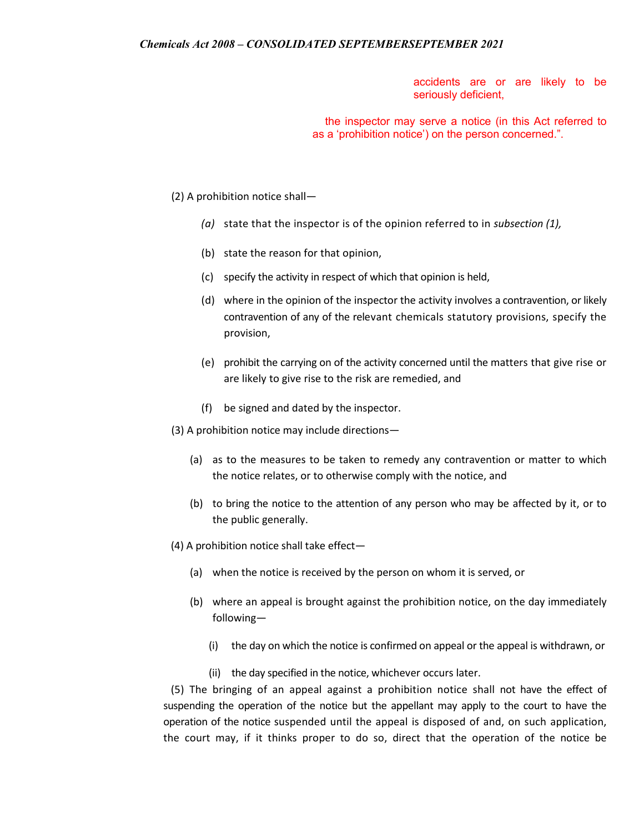accidents are or are likely to be seriously deficient,

the inspector may serve a notice (in this Act referred to as a 'prohibition notice') on the person concerned.".

(2) A prohibition notice shall—

- *(a)* state that the inspector is of the opinion referred to in *subsection (1),*
- (b) state the reason for that opinion,
- (c) specify the activity in respect of which that opinion is held,
- (d) where in the opinion of the inspector the activity involves a contravention, or likely contravention of any of the relevant chemicals statutory provisions, specify the provision,
- (e) prohibit the carrying on of the activity concerned until the matters that give rise or are likely to give rise to the risk are remedied, and
- (f) be signed and dated by the inspector.

(3) A prohibition notice may include directions—

- (a) as to the measures to be taken to remedy any contravention or matter to which the notice relates, or to otherwise comply with the notice, and
- (b) to bring the notice to the attention of any person who may be affected by it, or to the public generally.
- (4) A prohibition notice shall take effect—
	- (a) when the notice is received by the person on whom it is served, or
	- (b) where an appeal is brought against the prohibition notice, on the day immediately following—
		- (i) the day on which the notice is confirmed on appeal or the appeal is withdrawn, or
		- (ii) the day specified in the notice, whichever occurs later.

(5) The bringing of an appeal against a prohibition notice shall not have the effect of suspending the operation of the notice but the appellant may apply to the court to have the operation of the notice suspended until the appeal is disposed of and, on such application, the court may, if it thinks proper to do so, direct that the operation of the notice be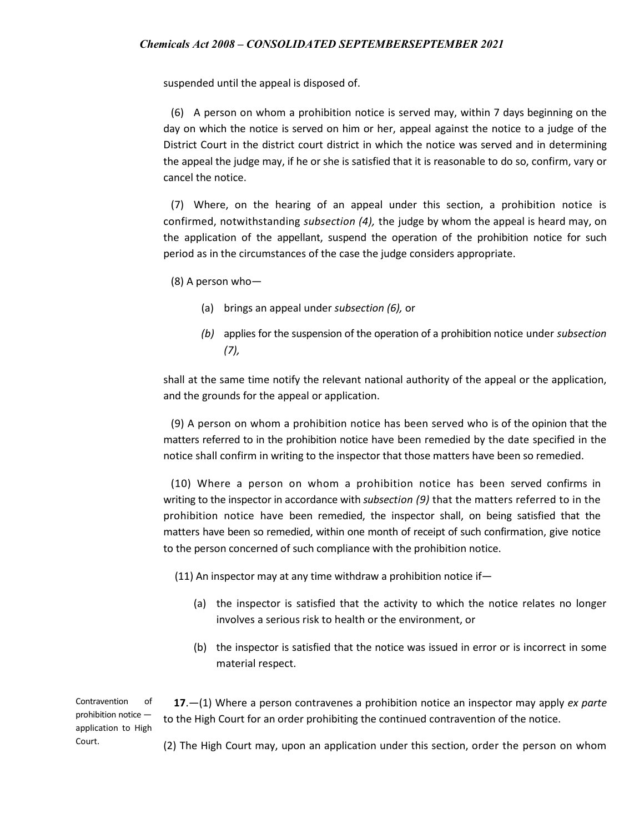suspended until the appeal is disposed of.

(6) A person on whom a prohibition notice is served may, within 7 days beginning on the day on which the notice is served on him or her, appeal against the notice to a judge of the District Court in the district court district in which the notice was served and in determining the appeal the judge may, if he or she is satisfied that it is reasonable to do so, confirm, vary or cancel the notice.

(7) Where, on the hearing of an appeal under this section, a prohibition notice is confirmed, notwithstanding *subsection (4),* the judge by whom the appeal is heard may, on the application of the appellant, suspend the operation of the prohibition notice for such period as in the circumstances of the case the judge considers appropriate.

(8) A person who—

- (a) brings an appeal under *subsection (6),* or
- *(b)* applies for the suspension of the operation of a prohibition notice under *subsection (7),*

shall at the same time notify the relevant national authority of the appeal or the application, and the grounds for the appeal or application.

(9) A person on whom a prohibition notice has been served who is of the opinion that the matters referred to in the prohibition notice have been remedied by the date specified in the notice shall confirm in writing to the inspector that those matters have been so remedied.

(10) Where a person on whom a prohibition notice has been served confirms in writing to the inspector in accordance with *subsection (9)* that the matters referred to in the prohibition notice have been remedied, the inspector shall, on being satisfied that the matters have been so remedied, within one month of receipt of such confirmation, give notice to the person concerned of such compliance with the prohibition notice.

(11) An inspector may at any time withdraw a prohibition notice if—

- (a) the inspector is satisfied that the activity to which the notice relates no longer involves a serious risk to health or the environment, or
- (b) the inspector is satisfied that the notice was issued in error or is incorrect in some material respect.

 **17**.—(1) Where a person contravenes a prohibition notice an inspector may apply *ex parte*  to the High Court for an order prohibiting the continued contravention of the notice.

(2) The High Court may, upon an application under this section, order the person on whom

Contravention of prohibition notice application to High Court.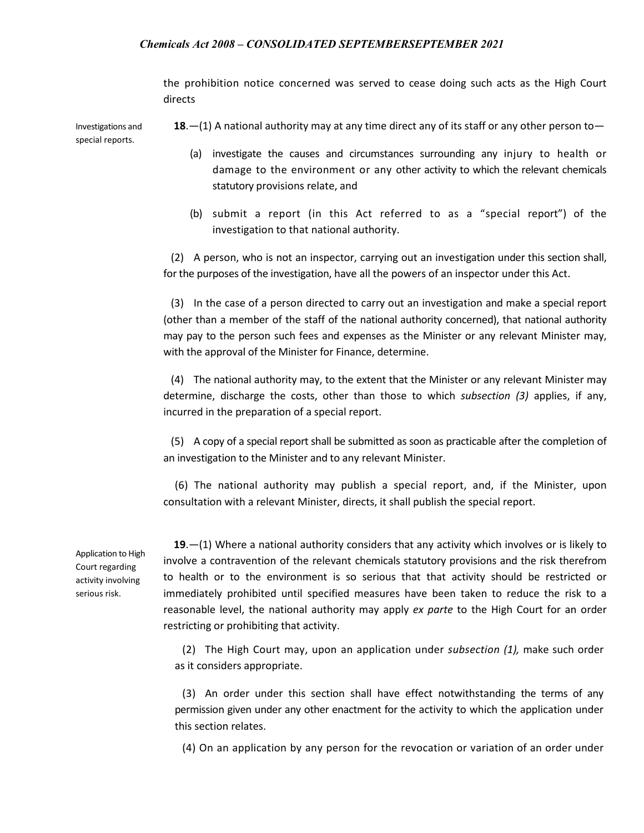the prohibition notice concerned was served to cease doing such acts as the High Court directs

Investigations and special reports. **18**.—(1) A national authority may at any time direct any of its staff or any other person to—

- (a) investigate the causes and circumstances surrounding any injury to health or damage to the environment or any other activity to which the relevant chemicals statutory provisions relate, and
- (b) submit a report (in this Act referred to as a "special report") of the investigation to that national authority.

(2) A person, who is not an inspector, carrying out an investigation under this section shall, for the purposes of the investigation, have all the powers of an inspector under this Act.

(3) In the case of a person directed to carry out an investigation and make a special report (other than a member of the staff of the national authority concerned), that national authority may pay to the person such fees and expenses as the Minister or any relevant Minister may, with the approval of the Minister for Finance, determine.

(4) The national authority may, to the extent that the Minister or any relevant Minister may determine, discharge the costs, other than those to which *subsection (3)* applies, if any, incurred in the preparation of a special report.

(5) A copy of a special report shall be submitted as soon as practicable after the completion of an investigation to the Minister and to any relevant Minister.

(6) The national authority may publish a special report, and, if the Minister, upon consultation with a relevant Minister, directs, it shall publish the special report.

Application to High Court regarding activity involving serious risk.

 **19**.—(1) Where a national authority considers that any activity which involves or is likely to involve a contravention of the relevant chemicals statutory provisions and the risk therefrom to health or to the environment is so serious that that activity should be restricted or immediately prohibited until specified measures have been taken to reduce the risk to a reasonable level, the national authority may apply *ex parte* to the High Court for an order restricting or prohibiting that activity.

(2) The High Court may, upon an application under *subsection (1),* make such order as it considers appropriate.

(3) An order under this section shall have effect notwithstanding the terms of any permission given under any other enactment for the activity to which the application under this section relates.

(4) On an application by any person for the revocation or variation of an order under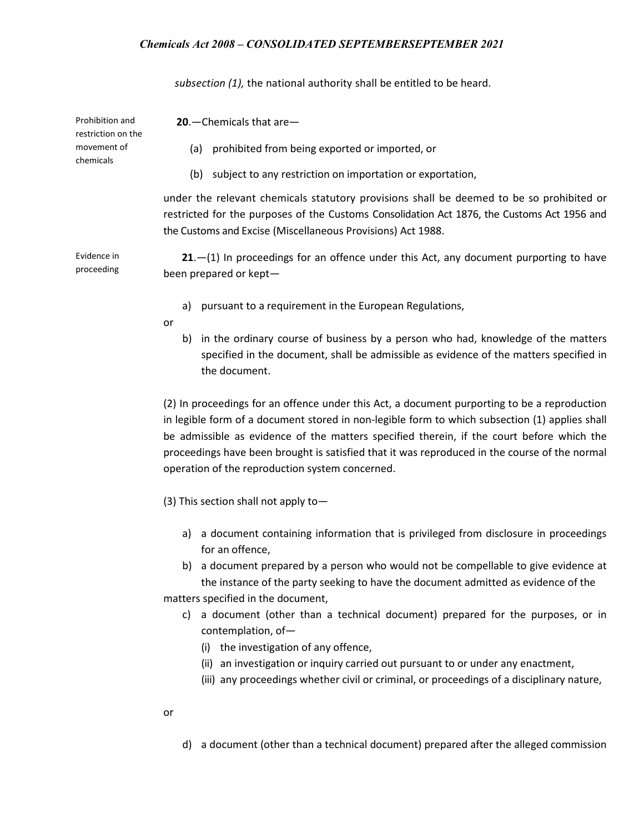*subsection (1),* the national authority shall be entitled to be heard.

| Prohibition and<br>restriction on the | $20$ . - Chemicals that are -                                                                                                                                                                                                                          |
|---------------------------------------|--------------------------------------------------------------------------------------------------------------------------------------------------------------------------------------------------------------------------------------------------------|
| movement of<br>chemicals              | prohibited from being exported or imported, or<br>(a)                                                                                                                                                                                                  |
|                                       | subject to any restriction on importation or exportation,<br>(b)                                                                                                                                                                                       |
|                                       | under the relevant chemicals statutory provisions shall be deemed to be so prohibited or<br>restricted for the purposes of the Customs Consolidation Act 1876, the Customs Act 1956 and<br>the Customs and Excise (Miscellaneous Provisions) Act 1988. |
| Evidence in<br>proceeding             | $21 - (1)$ In proceedings for an offence under this Act, any document purporting to have<br>been prepared or kept-                                                                                                                                     |
|                                       | pursuant to a requirement in the European Regulations,<br>a)                                                                                                                                                                                           |

- or
- b) in the ordinary course of business by a person who had, knowledge of the matters specified in the document, shall be admissible as evidence of the matters specified in the document.

(2) In proceedings for an offence under this Act, a document purporting to be a reproduction in legible form of a document stored in non-legible form to which subsection (1) applies shall be admissible as evidence of the matters specified therein, if the court before which the proceedings have been brought is satisfied that it was reproduced in the course of the normal operation of the reproduction system concerned.

(3) This section shall not apply to—

- a) a document containing information that is privileged from disclosure in proceedings for an offence,
- b) a document prepared by a person who would not be compellable to give evidence at the instance of the party seeking to have the document admitted as evidence of the matters specified in the document,
	- c) a document (other than a technical document) prepared for the purposes, or in contemplation, of—
		- (i) the investigation of any offence,
		- (ii) an investigation or inquiry carried out pursuant to or under any enactment,
		- (iii) any proceedings whether civil or criminal, or proceedings of a disciplinary nature,
- or
- d) a document (other than a technical document) prepared after the alleged commission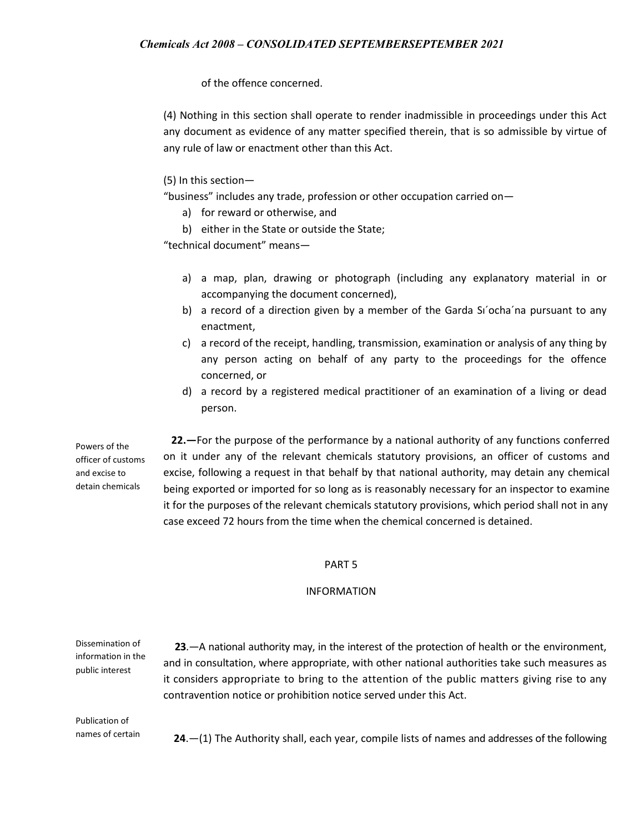of the offence concerned.

(4) Nothing in this section shall operate to render inadmissible in proceedings under this Act any document as evidence of any matter specified therein, that is so admissible by virtue of any rule of law or enactment other than this Act.

### (5) In this section—

"business" includes any trade, profession or other occupation carried on—

- a) for reward or otherwise, and
- b) either in the State or outside the State;

"technical document" means—

- a) a map, plan, drawing or photograph (including any explanatory material in or accompanying the document concerned),
- b) a record of a direction given by a member of the Garda Si'ocha'na pursuant to any enactment,
- c) a record of the receipt, handling, transmission, examination or analysis of any thing by any person acting on behalf of any party to the proceedings for the offence concerned, or
- d) a record by a registered medical practitioner of an examination of a living or dead person.

Powers of the officer of customs and excise to detain chemicals

 **22.—**For the purpose of the performance by a national authority of any functions conferred on it under any of the relevant chemicals statutory provisions, an officer of customs and excise, following a request in that behalf by that national authority, may detain any chemical being exported or imported for so long as is reasonably necessary for an inspector to examine it for the purposes of the relevant chemicals statutory provisions, which period shall not in any case exceed 72 hours from the time when the chemical concerned is detained.

#### PART 5

#### INFORMATION

Dissemination of information in the public interest

**23**.—A national authority may, in the interest of the protection of health or the environment, and in consultation, where appropriate, with other national authorities take such measures as it considers appropriate to bring to the attention of the public matters giving rise to any contravention notice or prohibition notice served under this Act.

Publication of names of certain

 **24**.—(1) The Authority shall, each year, compile lists of names and addresses of the following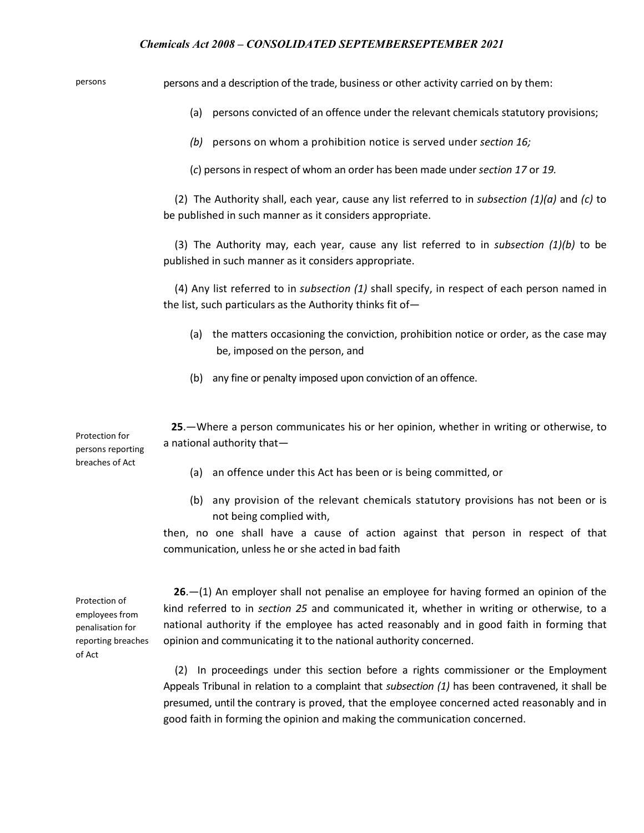persons persons and a description of the trade, business or other activity carried on by them:

(a) persons convicted of an offence under the relevant chemicals statutory provisions;

*(b)* persons on whom a prohibition notice is served under *section 16;*

(*c*) persons in respect of whom an order has been made under *section 17* or *19.*

(2) The Authority shall, each year, cause any list referred to in *subsection (1)(a)* and *(c)* to be published in such manner as it considers appropriate.

(3) The Authority may, each year, cause any list referred to in *subsection (1)(b)* to be published in such manner as it considers appropriate.

(4) Any list referred to in *subsection (1)* shall specify, in respect of each person named in the list, such particulars as the Authority thinks fit of—

- (a) the matters occasioning the conviction, prohibition notice or order, as the case may be, imposed on the person, and
- (b) any fine or penalty imposed upon conviction of an offence.

 **25**.—Where a person communicates his or her opinion, whether in writing or otherwise, to a national authority that—

Protection for persons reporting breaches of Act

- (a) an offence under this Act has been or is being committed, or
- (b) any provision of the relevant chemicals statutory provisions has not been or is not being complied with,

then, no one shall have a cause of action against that person in respect of that communication, unless he or she acted in bad faith

Protection of employees from penalisation for reporting breaches of Act

 **26**.—(1) An employer shall not penalise an employee for having formed an opinion of the kind referred to in *section 25* and communicated it, whether in writing or otherwise, to a national authority if the employee has acted reasonably and in good faith in forming that opinion and communicating it to the national authority concerned.

(2) In proceedings under this section before a rights commissioner or the Employment Appeals Tribunal in relation to a complaint that *subsection (1)* has been contravened, it shall be presumed, until the contrary is proved, that the employee concerned acted reasonably and in good faith in forming the opinion and making the communication concerned.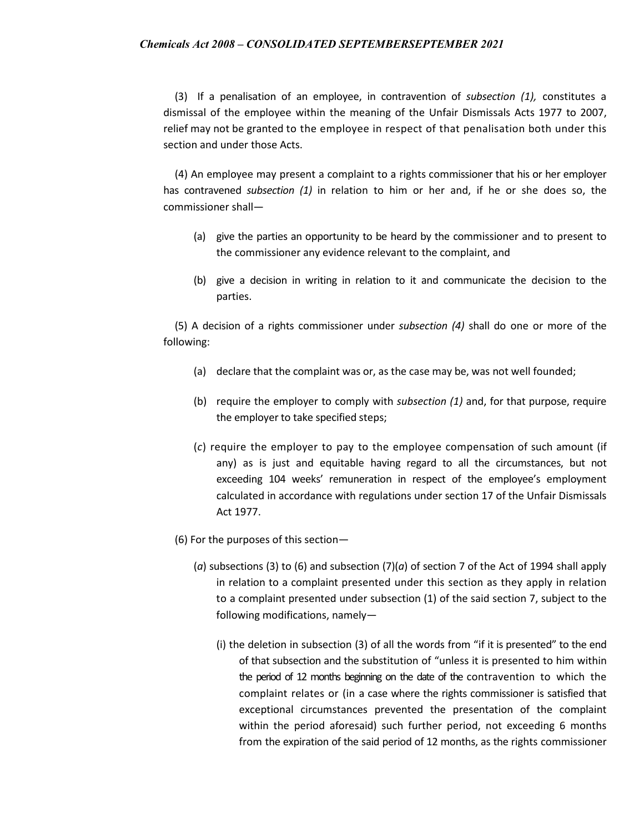(3) If a penalisation of an employee, in contravention of *subsection (1),* constitutes a dismissal of the employee within the meaning of the Unfair Dismissals Acts 1977 to 2007, relief may not be granted to the employee in respect of that penalisation both under this section and under those Acts.

(4) An employee may present a complaint to a rights commissioner that his or her employer has contravened *subsection (1)* in relation to him or her and, if he or she does so, the commissioner shall—

- (a) give the parties an opportunity to be heard by the commissioner and to present to the commissioner any evidence relevant to the complaint, and
- (b) give a decision in writing in relation to it and communicate the decision to the parties.

(5) A decision of a rights commissioner under *subsection (4)* shall do one or more of the following:

- (a) declare that the complaint was or, as the case may be, was not well founded;
- (b) require the employer to comply with *subsection (1)* and, for that purpose, require the employer to take specified steps;
- (*c*) require the employer to pay to the employee compensation of such amount (if any) as is just and equitable having regard to all the circumstances, but not exceeding 104 weeks' remuneration in respect of the employee's employment calculated in accordance with regulations under section 17 of the Unfair Dismissals Act 1977.
- (6) For the purposes of this section—
	- (*a*) subsections (3) to (6) and subsection (7)(*a*) of section 7 of the Act of 1994 shall apply in relation to a complaint presented under this section as they apply in relation to a complaint presented under subsection (1) of the said section 7, subject to the following modifications, namely—
		- (i) the deletion in subsection (3) of all the words from "if it is presented" to the end of that subsection and the substitution of "unless it is presented to him within the period of 12 months beginning on the date of the contravention to which the complaint relates or (in a case where the rights commissioner is satisfied that exceptional circumstances prevented the presentation of the complaint within the period aforesaid) such further period, not exceeding 6 months from the expiration of the said period of 12 months, as the rights commissioner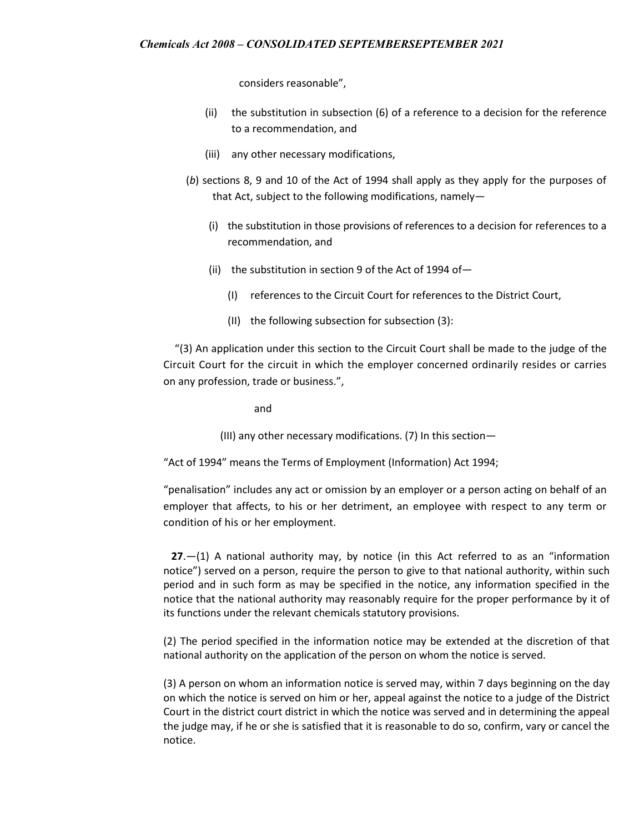considers reasonable",

- (ii) the substitution in subsection (6) of a reference to a decision for the reference to a recommendation, and
- (iii) any other necessary modifications,
- (*b*) sections 8, 9 and 10 of the Act of 1994 shall apply as they apply for the purposes of that Act, subject to the following modifications, namely—
	- (i) the substitution in those provisions of references to a decision for references to a recommendation, and
	- (ii) the substitution in section 9 of the Act of 1994 of  $-$ 
		- (I) references to the Circuit Court for references to the District Court,
		- (II) the following subsection for subsection (3):

"(3) An application under this section to the Circuit Court shall be made to the judge of the Circuit Court for the circuit in which the employer concerned ordinarily resides or carries on any profession, trade or business.",

and

(III) any other necessary modifications. (7) In this section—

"Act of 1994" means the Terms of Employment (Information) Act 1994;

"penalisation" includes any act or omission by an employer or a person acting on behalf of an employer that affects, to his or her detriment, an employee with respect to any term or condition of his or her employment.

 **27**.—(1) A national authority may, by notice (in this Act referred to as an "information notice") served on a person, require the person to give to that national authority, within such period and in such form as may be specified in the notice, any information specified in the notice that the national authority may reasonably require for the proper performance by it of its functions under the relevant chemicals statutory provisions.

(2) The period specified in the information notice may be extended at the discretion of that national authority on the application of the person on whom the notice is served.

(3) A person on whom an information notice is served may, within 7 days beginning on the day on which the notice is served on him or her, appeal against the notice to a judge of the District Court in the district court district in which the notice was served and in determining the appeal the judge may, if he or she is satisfied that it is reasonable to do so, confirm, vary or cancel the notice.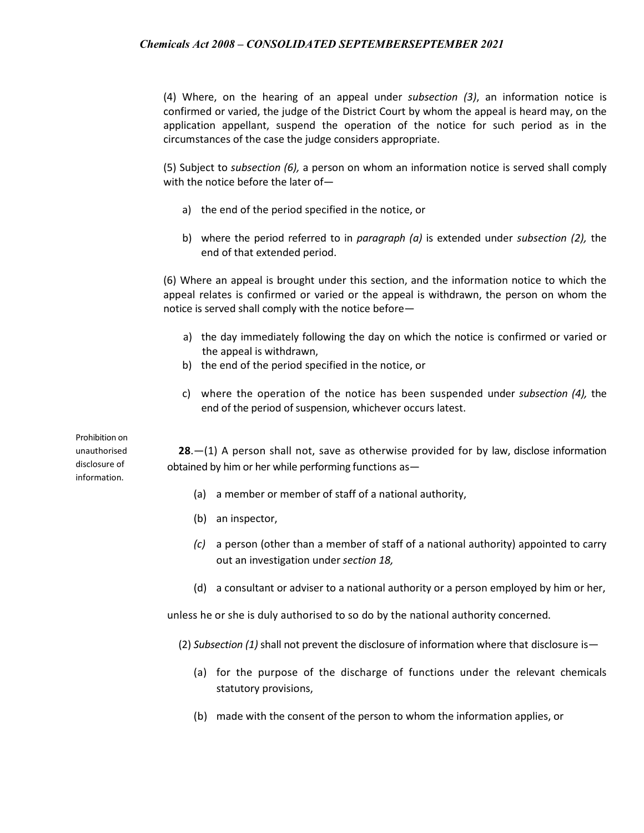(4) Where, on the hearing of an appeal under *subsection (3)*, an information notice is confirmed or varied, the judge of the District Court by whom the appeal is heard may, on the application appellant, suspend the operation of the notice for such period as in the circumstances of the case the judge considers appropriate.

(5) Subject to *subsection (6),* a person on whom an information notice is served shall comply with the notice before the later of—

- a) the end of the period specified in the notice, or
- b) where the period referred to in *paragraph (a)* is extended under *subsection (2),* the end of that extended period.

(6) Where an appeal is brought under this section, and the information notice to which the appeal relates is confirmed or varied or the appeal is withdrawn, the person on whom the notice is served shall comply with the notice before—

- a) the day immediately following the day on which the notice is confirmed or varied or the appeal is withdrawn,
- b) the end of the period specified in the notice, or
- c) where the operation of the notice has been suspended under *subsection (4),* the end of the period of suspension, whichever occurs latest.

Prohibition on unauthorised disclosure of information.

**28**.—(1) A person shall not, save as otherwise provided for by law, disclose information obtained by him or her while performing functions as—

- (a) a member or member of staff of a national authority,
- (b) an inspector,
- *(c)* a person (other than a member of staff of a national authority) appointed to carry out an investigation under *section 18,*
- (d) a consultant or adviser to a national authority or a person employed by him or her,

unless he or she is duly authorised to so do by the national authority concerned.

(2) *Subsection (1)* shall not prevent the disclosure of information where that disclosure is—

- (a) for the purpose of the discharge of functions under the relevant chemicals statutory provisions,
- (b) made with the consent of the person to whom the information applies, or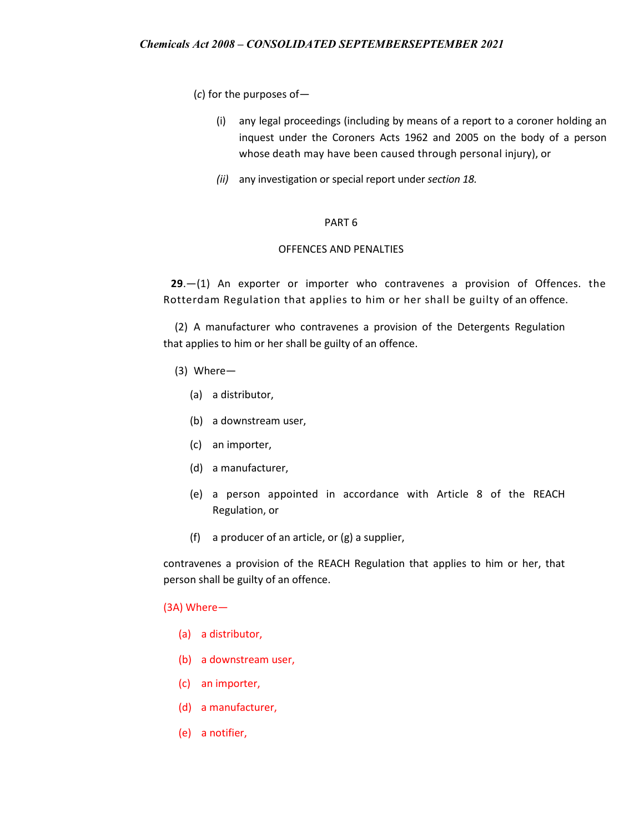(*c*) for the purposes of—

- (i) any legal proceedings (including by means of a report to a coroner holding an inquest under the Coroners Acts 1962 and 2005 on the body of a person whose death may have been caused through personal injury), or
- *(ii)* any investigation or special report under *section 18.*

#### PART 6

### OFFENCES AND PENALTIES

**29**.—(1) An exporter or importer who contravenes a provision of Offences. the Rotterdam Regulation that applies to him or her shall be guilty of an offence.

(2) A manufacturer who contravenes a provision of the Detergents Regulation that applies to him or her shall be guilty of an offence.

- (3) Where—
	- (a) a distributor,
	- (b) a downstream user,
	- (c) an importer,
	- (d) a manufacturer,
	- (e) a person appointed in accordance with Article 8 of the REACH Regulation, or
	- (f) a producer of an article, or (g) a supplier,

contravenes a provision of the REACH Regulation that applies to him or her, that person shall be guilty of an offence.

#### (3A) Where—

- (a) a distributor,
- (b) a downstream user,
- (c) an importer,
- (d) a manufacturer,
- (e) a notifier,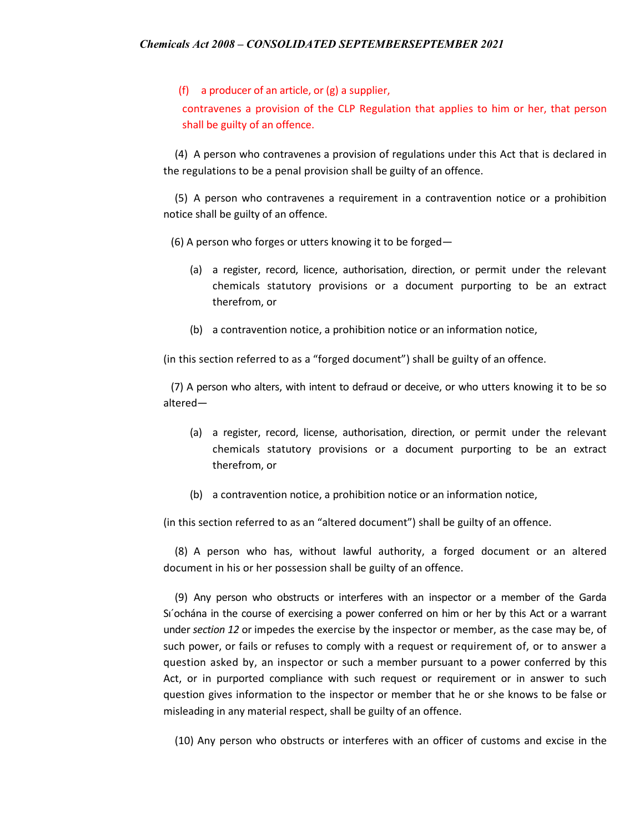(f) a producer of an article, or (g) a supplier,

contravenes a provision of the CLP Regulation that applies to him or her, that person shall be guilty of an offence.

(4) A person who contravenes a provision of regulations under this Act that is declared in the regulations to be a penal provision shall be guilty of an offence.

(5) A person who contravenes a requirement in a contravention notice or a prohibition notice shall be guilty of an offence.

(6) A person who forges or utters knowing it to be forged—

- (a) a register, record, licence, authorisation, direction, or permit under the relevant chemicals statutory provisions or a document purporting to be an extract therefrom, or
- (b) a contravention notice, a prohibition notice or an information notice,

(in this section referred to as a "forged document") shall be guilty of an offence.

(7) A person who alters, with intent to defraud or deceive, or who utters knowing it to be so altered—

- (a) a register, record, license, authorisation, direction, or permit under the relevant chemicals statutory provisions or a document purporting to be an extract therefrom, or
- (b) a contravention notice, a prohibition notice or an information notice,

(in this section referred to as an "altered document") shall be guilty of an offence.

(8) A person who has, without lawful authority, a forged document or an altered document in his or her possession shall be guilty of an offence.

(9) Any person who obstructs or interferes with an inspector or a member of the Garda Sı´ochána in the course of exercising a power conferred on him or her by this Act or a warrant under *section 12* or impedes the exercise by the inspector or member, as the case may be, of such power, or fails or refuses to comply with a request or requirement of, or to answer a question asked by, an inspector or such a member pursuant to a power conferred by this Act, or in purported compliance with such request or requirement or in answer to such question gives information to the inspector or member that he or she knows to be false or misleading in any material respect, shall be guilty of an offence.

(10) Any person who obstructs or interferes with an officer of customs and excise in the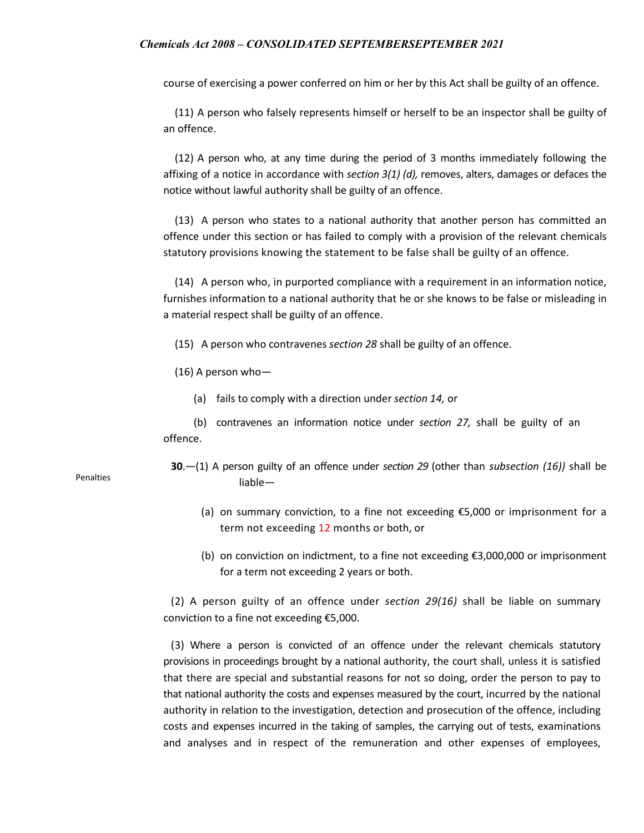course of exercising a power conferred on him or her by this Act shall be guilty of an offence.

(11) A person who falsely represents himself or herself to be an inspector shall be guilty of an offence.

(12) A person who, at any time during the period of 3 months immediately following the affixing of a notice in accordance with *section 3(1) (d),* removes, alters, damages or defaces the notice without lawful authority shall be guilty of an offence.

(13) A person who states to a national authority that another person has committed an offence under this section or has failed to comply with a provision of the relevant chemicals statutory provisions knowing the statement to be false shall be guilty of an offence.

(14) A person who, in purported compliance with a requirement in an information notice, furnishes information to a national authority that he or she knows to be false or misleading in a material respect shall be guilty of an offence.

(15) A person who contravenes *section 28* shall be guilty of an offence.

(16) A person who—

(a) fails to comply with a direction under *section 14,* or

(b) contravenes an information notice under *section 27,* shall be guilty of an offence.

- **30**.—(1) A person guilty of an offence under *section 29* (other than *subsection (16))* shall be liable—
	- (a) on summary conviction, to a fine not exceeding €5,000 or imprisonment for a term not exceeding 12 months or both, or
	- (b) on conviction on indictment, to a fine not exceeding €3,000,000 or imprisonment for a term not exceeding 2 years or both.

(2) A person guilty of an offence under *section 29(16)* shall be liable on summary conviction to a fine not exceeding €5,000.

(3) Where a person is convicted of an offence under the relevant chemicals statutory provisions in proceedings brought by a national authority, the court shall, unless it is satisfied that there are special and substantial reasons for not so doing, order the person to pay to that national authority the costs and expenses measured by the court, incurred by the national authority in relation to the investigation, detection and prosecution of the offence, including costs and expenses incurred in the taking of samples, the carrying out of tests, examinations and analyses and in respect of the remuneration and other expenses of employees,

Penalties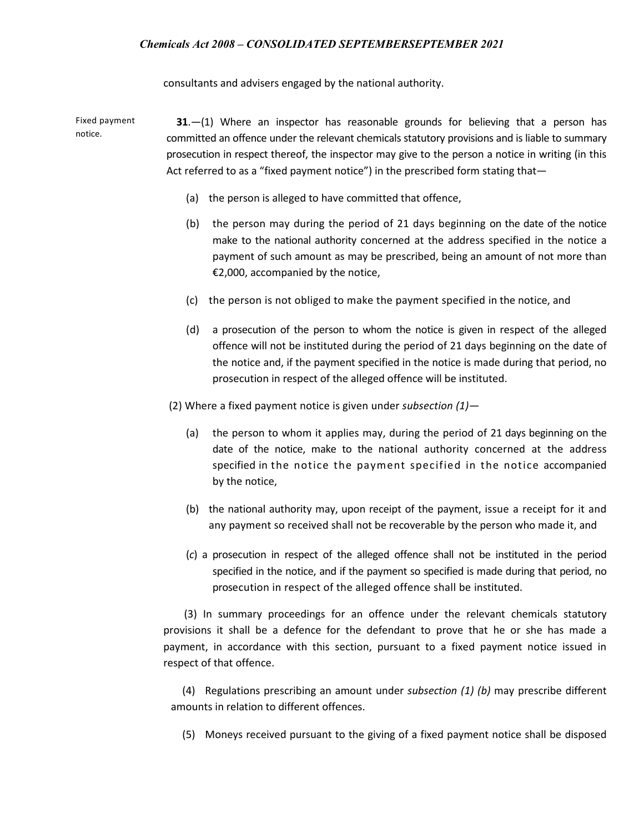consultants and advisers engaged by the national authority.

Fixed payment notice. **31**.—(1) Where an inspector has reasonable grounds for believing that a person has committed an offence under the relevant chemicals statutory provisions and is liable to summary prosecution in respect thereof, the inspector may give to the person a notice in writing (in this Act referred to as a "fixed payment notice") in the prescribed form stating that—

- (a) the person is alleged to have committed that offence,
- (b) the person may during the period of 21 days beginning on the date of the notice make to the national authority concerned at the address specified in the notice a payment of such amount as may be prescribed, being an amount of not more than €2,000, accompanied by the notice,
- (c) the person is not obliged to make the payment specified in the notice, and
- (d) a prosecution of the person to whom the notice is given in respect of the alleged offence will not be instituted during the period of 21 days beginning on the date of the notice and, if the payment specified in the notice is made during that period, no prosecution in respect of the alleged offence will be instituted.

(2) Where a fixed payment notice is given under *subsection (1)—*

- (a) the person to whom it applies may, during the period of 21 days beginning on the date of the notice, make to the national authority concerned at the address specified in the notice the payment specified in the notice accompanied by the notice,
- (b) the national authority may, upon receipt of the payment, issue a receipt for it and any payment so received shall not be recoverable by the person who made it, and
- (*c*) a prosecution in respect of the alleged offence shall not be instituted in the period specified in the notice, and if the payment so specified is made during that period, no prosecution in respect of the alleged offence shall be instituted.

 (3) In summary proceedings for an offence under the relevant chemicals statutory provisions it shall be a defence for the defendant to prove that he or she has made a payment, in accordance with this section, pursuant to a fixed payment notice issued in respect of that offence.

(4) Regulations prescribing an amount under *subsection (1) (b)* may prescribe different amounts in relation to different offences.

(5) Moneys received pursuant to the giving of a fixed payment notice shall be disposed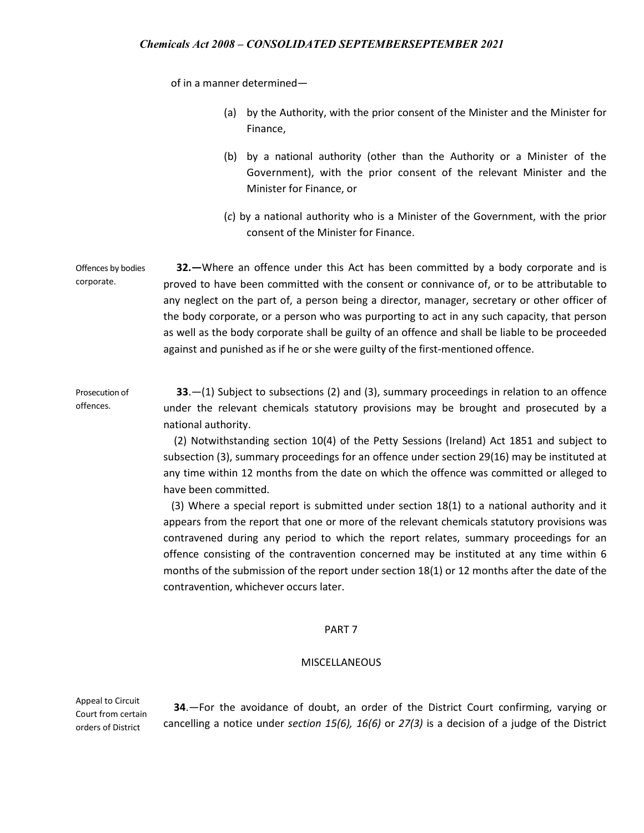of in a manner determined—

- (a) by the Authority, with the prior consent of the Minister and the Minister for Finance,
- (b) by a national authority (other than the Authority or a Minister of the Government), with the prior consent of the relevant Minister and the Minister for Finance, or
- (*c*) by a national authority who is a Minister of the Government, with the prior consent of the Minister for Finance.

Offences by bodies corporate.  **32.—**Where an offence under this Act has been committed by a body corporate and is proved to have been committed with the consent or connivance of, or to be attributable to any neglect on the part of, a person being a director, manager, secretary or other officer of the body corporate, or a person who was purporting to act in any such capacity, that person as well as the body corporate shall be guilty of an offence and shall be liable to be proceeded against and punished as if he or she were guilty of the first-mentioned offence.

Prosecution of offences. **33**.—(1) Subject to subsections (2) and (3), summary proceedings in relation to an offence under the relevant chemicals statutory provisions may be brought and prosecuted by a national authority.

> (2) Notwithstanding section 10(4) of the Petty Sessions (Ireland) Act 1851 and subject to subsection (3), summary proceedings for an offence under section 29(16) may be instituted at any time within 12 months from the date on which the offence was committed or alleged to have been committed.

> (3) Where a special report is submitted under section 18(1) to a national authority and it appears from the report that one or more of the relevant chemicals statutory provisions was contravened during any period to which the report relates, summary proceedings for an offence consisting of the contravention concerned may be instituted at any time within 6 months of the submission of the report under section 18(1) or 12 months after the date of the contravention, whichever occurs later.

#### PART 7

#### MISCELLANEOUS

Appeal to Circuit Court from certain orders of District

 **34**.—For the avoidance of doubt, an order of the District Court confirming, varying or cancelling a notice under *section 15(6), 16(6)* or *27(3)* is a decision of a judge of the District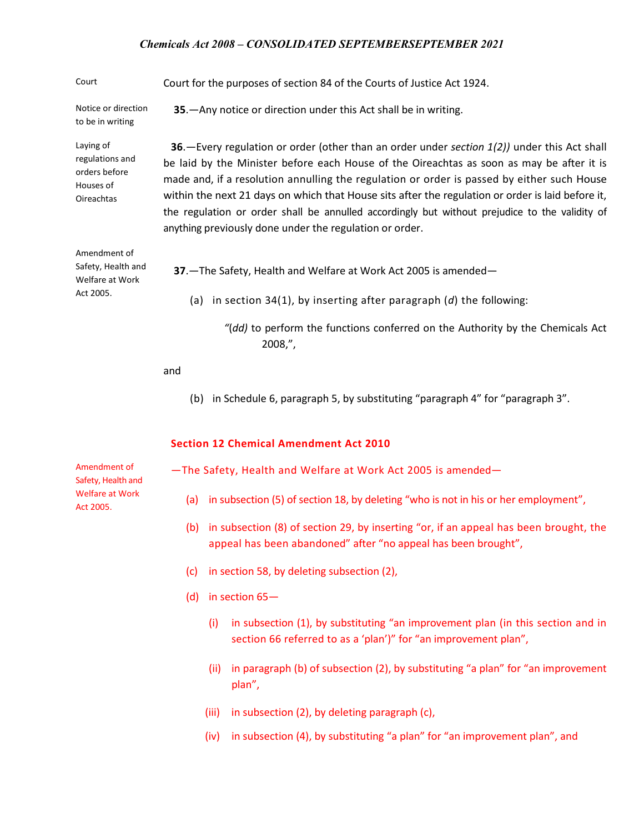**35**.—Any notice or direction under this Act shall be in writing.

Court Court for the purposes of section 84 of the Courts of Justice Act 1924.

Notice or direction to be in writing

Laying of regulations and orders before Houses of Oireachtas

Amendment of Safety, Health and Welfare at Work Act 2005.

**36**.—Every regulation or order (other than an order under *section 1(2))* under this Act shall be laid by the Minister before each House of the Oireachtas as soon as may be after it is made and, if a resolution annulling the regulation or order is passed by either such House within the next 21 days on which that House sits after the regulation or order is laid before it, the regulation or order shall be annulled accordingly but without prejudice to the validity of anything previously done under the regulation or order.

 **37**.—The Safety, Health and Welfare at Work Act 2005 is amended—

- (a) in section 34(1), by inserting after paragraph (*d*) the following:
	- *"*(*dd)* to perform the functions conferred on the Authority by the Chemicals Act 2008,",

and

(b) in Schedule 6, paragraph 5, by substituting "paragraph 4" for "paragraph 3".

#### **Section 12 Chemical Amendment Act 2010**

Amendment of Safety, Health and Welfare at Work Act 2005.

- —The Safety, Health and Welfare at Work Act 2005 is amended—
	- (a) in subsection (5) of section 18, by deleting "who is not in his or her employment",
	- (b) in subsection (8) of section 29, by inserting "or, if an appeal has been brought, the appeal has been abandoned" after "no appeal has been brought",
	- (c) in section 58, by deleting subsection (2),
	- (d) in section 65—
		- (i) in subsection (1), by substituting "an improvement plan (in this section and in section 66 referred to as a 'plan')" for "an improvement plan",
		- (ii) in paragraph (b) of subsection (2), by substituting "a plan" for "an improvement plan",
		- (iii) in subsection (2), by deleting paragraph (c),
		- (iv) in subsection (4), by substituting "a plan" for "an improvement plan", and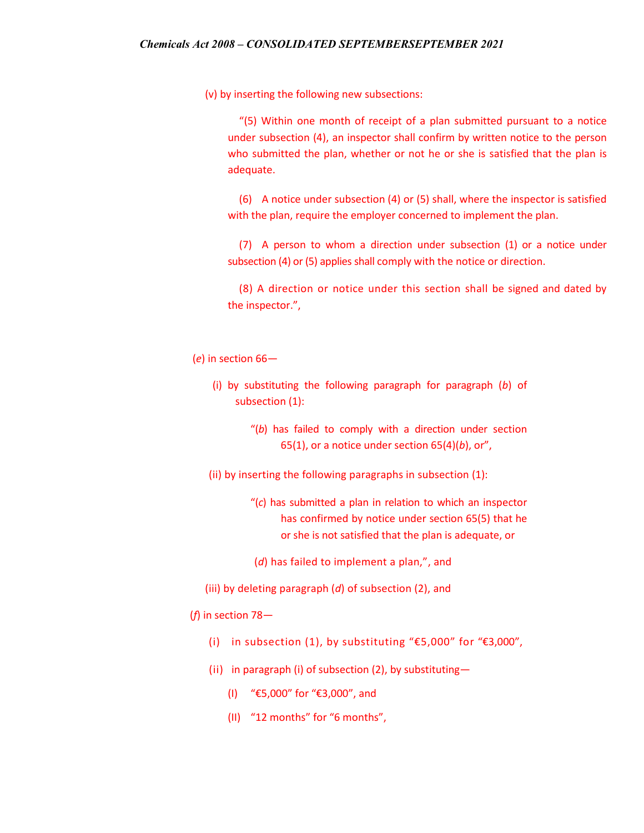(v) by inserting the following new subsections:

"(5) Within one month of receipt of a plan submitted pursuant to a notice under subsection (4), an inspector shall confirm by written notice to the person who submitted the plan, whether or not he or she is satisfied that the plan is adequate.

(6) A notice under subsection (4) or (5) shall, where the inspector is satisfied with the plan, require the employer concerned to implement the plan.

(7) A person to whom a direction under subsection (1) or a notice under subsection (4) or (5) applies shall comply with the notice or direction.

(8) A direction or notice under this section shall be signed and dated by the inspector.",

(*e*) in section 66—

- (i) by substituting the following paragraph for paragraph (*b*) of subsection (1):
	- "(*b*) has failed to comply with a direction under section 65(1), or a notice under section 65(4)(*b*), or",
- (ii) by inserting the following paragraphs in subsection (1):
	- "(*c*) has submitted a plan in relation to which an inspector has confirmed by notice under section 65(5) that he or she is not satisfied that the plan is adequate, or
	- (*d*) has failed to implement a plan,", and
- (iii) by deleting paragraph (*d*) of subsection (2), and
- (*f*) in section 78—
	- (i) in subsection (1), by substituting "€5,000" for "€3,000",
	- (ii) in paragraph (i) of subsection (2), by substituting—
		- (I) "€5,000" for "€3,000", and
		- (II) "12 months" for "6 months",